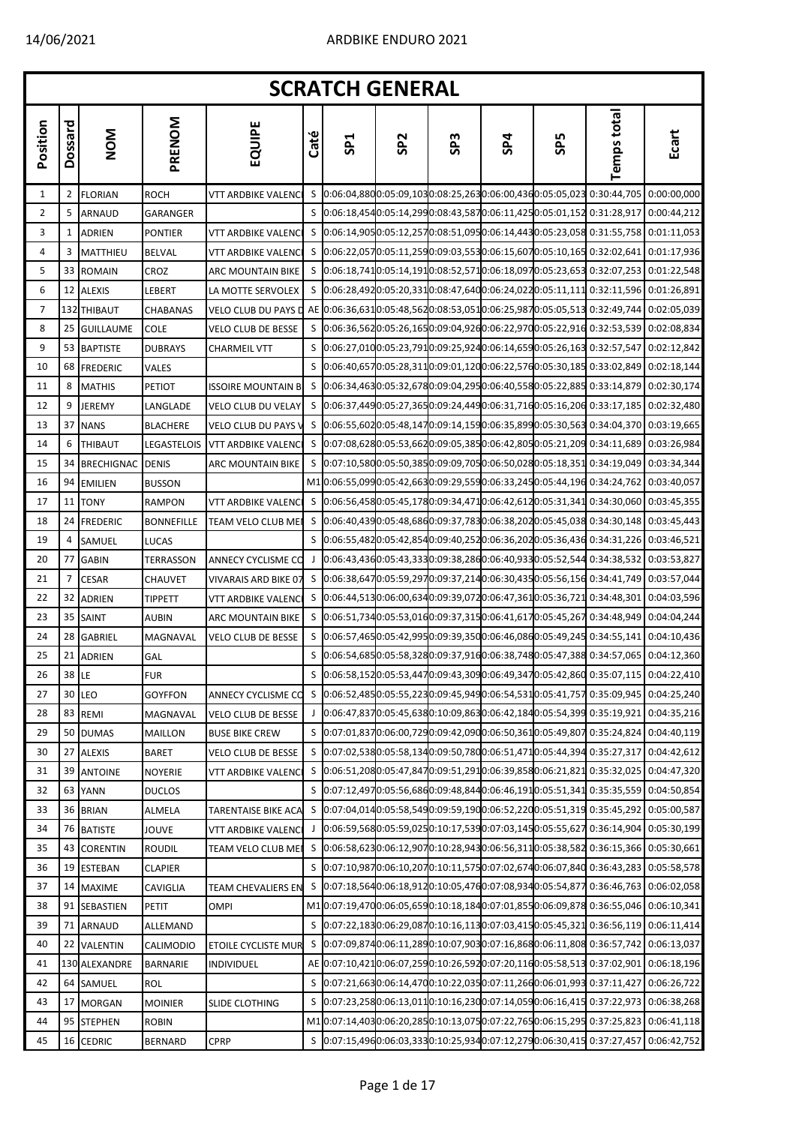|                |              |                |                   |                           |      | <b>SCRATCH GENERAL</b> |                 |                 |     |            |                                                                                              |             |
|----------------|--------------|----------------|-------------------|---------------------------|------|------------------------|-----------------|-----------------|-----|------------|----------------------------------------------------------------------------------------------|-------------|
| Position       | Dossard      | <b>NOM</b>     | PRENOM            | EQUIPE                    | Caté | SP <sub>1</sub>        | SP <sub>2</sub> | SP <sub>3</sub> | SP4 | <b>SP5</b> | <b>Temps total</b>                                                                           | Ecart       |
| 1              | $\mathbf{2}$ | <b>FLORIAN</b> | ROCH              | VTT ARDBIKE VALENC        | S    |                        |                 |                 |     |            | 0:06:04,8800:05:09,1030:08:25,2630:06:00,4360:05:05,023 0:30:44,705                          | 0:00:00,000 |
| $\overline{2}$ | 5            | <b>ARNAUD</b>  | <b>GARANGER</b>   |                           | S    |                        |                 |                 |     |            | 0:06:18,4540:05:14,2990:08:43,5870:06:11,4250:05:01,152 0:31:28,917                          | 0:00:44,212 |
| 3              | $\mathbf{1}$ | <b>ADRIEN</b>  | PONTIER           | <b>VTT ARDBIKE VALENC</b> | S    |                        |                 |                 |     |            | 0:06:14,9050:05:12,2570:08:51,0950:06:14,4430:05:23,058 0:31:55,758 0:01:11,053              |             |
| 4              | 3            | MATTHIEU       | <b>BELVAL</b>     | <b>VTT ARDBIKE VALENC</b> | S    |                        |                 |                 |     |            | 0:06:22,0570:05:11,2590:09:03,5530:06:15,6070:05:10,165 0:32:02,641 0:01:17,936              |             |
| 5              |              | 33 ROMAIN      | CROZ              | ARC MOUNTAIN BIKE         | S    |                        |                 |                 |     |            | 0:06:18,7410:05:14,1910:08:52,5710:06:18,0970:05:23,653 0:32:07,253 0:01:22,548              |             |
| 6              |              | 12 ALEXIS      | LEBERT            | LA MOTTE SERVOLEX         | S    |                        |                 |                 |     |            | 0:06:28,4920:05:20,3310:08:47,6400:06:24,0220:05:11,111 0:32:11,596 0:01:26,891              |             |
| 7              |              | 132 THIBAUT    | CHABANAS          | VELO CLUB DU PAYS D       |      |                        |                 |                 |     |            | AE 0:06:36,6310:05:48,5620:08:53,0510:06:25,9870:05:05,513 0:32:49,744 0:02:05,039           |             |
| 8              |              | 25 GUILLAUME   | <b>COLE</b>       | <b>VELO CLUB DE BESSE</b> | S    |                        |                 |                 |     |            | 0:06:36,5620:05:26,1650:09:04,9260:06:22,9700:05:22,916 0:32:53,539 0:02:08,834              |             |
| 9              |              | 53 BAPTISTE    | DUBRAYS           | <b>CHARMEIL VTT</b>       | S    |                        |                 |                 |     |            | 0:06:27,0100:05:23,7910:09:25,9240:06:14,6590:05:26,163 0:32:57,547                          | 0:02:12,842 |
| 10             |              | 68 FREDERIC    | VALES             |                           | S    |                        |                 |                 |     |            | 0:06:40,6570:05:28,3110:09:01,1200:06:22,5760:05:30,185 0:33:02,849 0:02:18,144              |             |
| 11             | 8            | <b>MATHIS</b>  | Petiot            | ISSOIRE MOUNTAIN B        | S    |                        |                 |                 |     |            | 0:06:34,4630:05:32,6780:09:04,2950:06:40,5580:05:22,885 0:33:14,879                          | 0:02:30,174 |
| 12             | 9            | JEREMY         | LANGLADE          | VELO CLUB DU VELAY        | S    |                        |                 |                 |     |            | 0:06:37,4490:05:27,3650:09:24,4490:06:31,7160:05:16,206 0:33:17,185 0:02:32,480              |             |
| 13             |              | 37 NANS        | <b>BLACHERE</b>   | VELO CLUB DU PAYS \       | S    |                        |                 |                 |     |            | 0:06:55,6020:05:48,1470:09:14,1590:06:35,8990:05:30,563 0:34:04,370 0:03:19,665              |             |
| 14             | 6            | <b>THIBAUT</b> | LEGASTELOIS       | <b>VTT ARDBIKE VALENC</b> | S    |                        |                 |                 |     |            | 0:07:08,6280:05:53,6620:09:05,3850:06:42,8050:05:21,209 0:34:11,689 0:03:26,984              |             |
| 15             |              | 34 BRECHIGNAC  | <b>DENIS</b>      | <b>ARC MOUNTAIN BIKE</b>  | S    |                        |                 |                 |     |            | 0:07:10,5800:05:50,3850:09:09,7050:06:50,0280:05:18,351 0:34:19,049 0:03:34,344              |             |
| 16             |              | 94 EMILIEN     | BUSSON            |                           |      |                        |                 |                 |     |            | M10:06:55,0990:05:42,6630:09:29,5590:06:33,2450:05:44,196 0:34:24,762                        | 0:03:40,057 |
| 17             |              | 11 TONY        | <b>RAMPON</b>     | VTT ARDBIKE VALENC        | S    |                        |                 |                 |     |            | $[0.06:56,458]0:05:45,178]0:09:34,471]0:06:42,612]0:05:31,341]0:34:30,060]0:03:45,355$       |             |
| 18             |              | 24 FREDERIC    | <b>BONNEFILLE</b> | TEAM VELO CLUB ME         | S    |                        |                 |                 |     |            | 0:06:40,4390:05:48,6860:09:37,7830:06:38,2020:05:45,038 0:34:30,148 0:03:45,443              |             |
| 19             | 4            | SAMUEL         | LUCAS             |                           | S    |                        |                 |                 |     |            | 0:06:55,4820:05:42,8540:09:40,2520:06:36,2020:05:36,436 0:34:31,226 0:03:46,521              |             |
| 20             |              | 77 GABIN       | TERRASSON         | <b>ANNECY CYCLISME CO</b> | J    |                        |                 |                 |     |            | 0:06:43,4360:05:43,3330:09:38,2860:06:40,9330:05:52,544 0:34:38,532 0:03:53,827              |             |
| 21             | 7            | <b>CESAR</b>   | CHAUVET           | VIVARAIS ARD BIKE 07      | S    |                        |                 |                 |     |            | 0:06:38,6470:05:59,2970:09:37,2140:06:30,4350:05:56,156 0:34:41,749 0:03:57,044              |             |
| 22             |              | 32 ADRIEN      | <b>TIPPETT</b>    | VTT ARDBIKE VALENC        | S    |                        |                 |                 |     |            | 0:06:44,5130:06:00,6340:09:39,0720:06:47,3610:05:36,721 0:34:48,301                          | 0:04:03,596 |
| 23             |              | 35 SAINT       | <b>AUBIN</b>      | ARC MOUNTAIN BIKE         | S    |                        |                 |                 |     |            | 0:06:51,7340:05:53,0160:09:37,3150:06:41,6170:05:45,267 0:34:48,949 0:04:04,244              |             |
| 24             |              | 28 GABRIEL     | MAGNAVAL          | <b>VELO CLUB DE BESSE</b> | S    |                        |                 |                 |     |            | 0:06:57,4650:05:42,9950:09:39,3500:06:46,0860:05:49,245 0:34:55,141                          | 0:04:10,436 |
| 25             |              | 21 ADRIEN      | GAL               |                           | S    |                        |                 |                 |     |            | 0:06:54,6850:05:58,3280:09:37,9160:06:38,7480:05:47,388 0:34:57,065 0:04:12,360              |             |
| 26             | 38   LE      |                | <b>FUR</b>        |                           |      |                        |                 |                 |     |            | $[0.06:58, 152]0:05:53,447]0:09:43,309]0:06:49,347]0:05:42,86]0:35:07,115[0:04:22,410]$      |             |
| 27             |              | 30 LEO         | <b>GOYFFON</b>    | ANNECY CYCLISME CO        |      |                        |                 |                 |     |            | \$ 0:06:52,4850:05:55,2230:09:45,9490:06:54,5310:05:41,757 0:35:09,945 0:04:25,240           |             |
| 28             |              | 83 REMI        | MAGNAVAL          | <b>VELO CLUB DE BESSE</b> |      |                        |                 |                 |     |            | 0:06:47,8370:05:45,6380:10:09,8630:06:42,1840:05:54,399 0:35:19,921 0:04:35,216              |             |
| 29             |              | 50 DUMAS       | MAILLON           | <b>BUSE BIKE CREW</b>     | S    |                        |                 |                 |     |            | $[0.07.01, 8370.06.00, 7290.09.42, 0900.06.50, 3610.05.49, 807, 0.35.24, 824, 0.04.40, 119]$ |             |
| 30             |              | 27 ALEXIS      | BARET             | VELO CLUB DE BESSE        | S    |                        |                 |                 |     |            | 0:07:02,5380:05:58,1340:09:50,7800:06:51,4710:05:44,394 0:35:27,317 0:04:42,612              |             |
| 31             | 39 I         | <b>ANTOINE</b> | NOYERIE           | VTT ARDBIKE VALENC        | S    |                        |                 |                 |     |            | 0:06:51,2080:05:47,8470:09:51,2910:06:39,8580:06:21,821 0:35:32,025 0:04:47,320              |             |
| 32             |              | 63 YANN        | DUCLOS            |                           | S    |                        |                 |                 |     |            | 0:07:12,4970:05:56,6860:09:48,8440:06:46,1910:05:51,341 0:35:35,559 0:04:50,854              |             |
| 33             |              | 36 BRIAN       | ALMELA            | TARENTAISE BIKE ACA       | S    |                        |                 |                 |     |            | 0:07:04,0140:05:58,5490:09:59,1900:06:52,2200:05:51,319 0:35:45,292 0:05:00,587              |             |
| 34             |              | 76 BATISTE     | <b>JOUVE</b>      | VTT ARDBIKE VALENC        |      |                        |                 |                 |     |            | $0.06:59.5680:05:59.0250:10:17.5390:07:03.1450:05:55.6270:36:14.9040:05:30.199$              |             |
| 35             |              | 43 CORENTIN    | <b>ROUDIL</b>     | TEAM VELO CLUB ME         | S    |                        |                 |                 |     |            | 0:06:58,6230:06:12,9070:10:28,9430:06:56,3110:05:38,582 0:36:15,366 0:05:30,661              |             |
| 36             |              | 19 ESTEBAN     | CLAPIER           |                           | S    |                        |                 |                 |     |            | 0:07:10,9870:06:10,2070:10:11,5750:07:02,6740:06:07,840 0:36:43,283 0:05:58,578              |             |
| 37             |              | 14 MAXIME      | CAVIGLIA          | <b>TEAM CHEVALIERS EN</b> | S    |                        |                 |                 |     |            | 0:07:18,5640:06:18,9120:10:05,4760:07:08,9340:05:54,877 0:36:46,763 0:06:02,058              |             |
| 38             | 91           | SEBASTIEN      | PETIT             | OMPI                      |      |                        |                 |                 |     |            | M10:07:19,4700:06:05,6590:10:18,1840:07:01,8550:06:09,878 0:36:55,046 0:06:10,341            |             |
| 39             | 71           | ARNAUD         | ALLEMAND          |                           | S    |                        |                 |                 |     |            | $[0.07:22,183]0.06:29,0870:10:16,113]0.07:03,415]0.05:45,321]0.36:56,119]0.06:11,414$        |             |
| 40             |              | 22 VALENTIN    | CALIMODIO         | ETOILE CYCLISTE MUR       | S    |                        |                 |                 |     |            | 0:07:09,8740:06:11,2890:10:07,9030:07:16,8680:06:11,808 0:36:57,742 0:06:13,037              |             |
| 41             |              | 130 ALEXANDRE  | BARNARIE          | INDIVIDUEL                |      |                        |                 |                 |     |            | AE 0:07:10,4210:06:07,2590:10:26,5920:07:20,1160:05:58,513 0:37:02,901                       | 0:06:18,196 |
| 42             |              | 64 SAMUEL      | ROL               |                           | S    |                        |                 |                 |     |            | 0:07:21,6630:06:14,4700:10:22,0350:07:11,2660:06:01,993 0:37:11,427                          | 0:06:26,722 |
| 43             | 17           | <b>MORGAN</b>  | MOINIER           | SLIDE CLOTHING            | S    |                        |                 |                 |     |            | 0:07:23,2580:06:13,0110:10:16,2300:07:14,0590:06:16,415 0:37:22,973 0:06:38,268              |             |
| 44             |              | 95 STEPHEN     | <b>ROBIN</b>      |                           |      |                        |                 |                 |     |            | M10:07:14,4030:06:20,2850:10:13,0750:07:22,7650:06:15,295 0:37:25,823                        | 0:06:41,118 |
| 45             |              | 16 CEDRIC      | <b>BERNARD</b>    | <b>CPRP</b>               | S    |                        |                 |                 |     |            | 0:07:15,4960:06:03,3330:10:25,9340:07:12,2790:06:30,415 0:37:27,457 0:06:42,752              |             |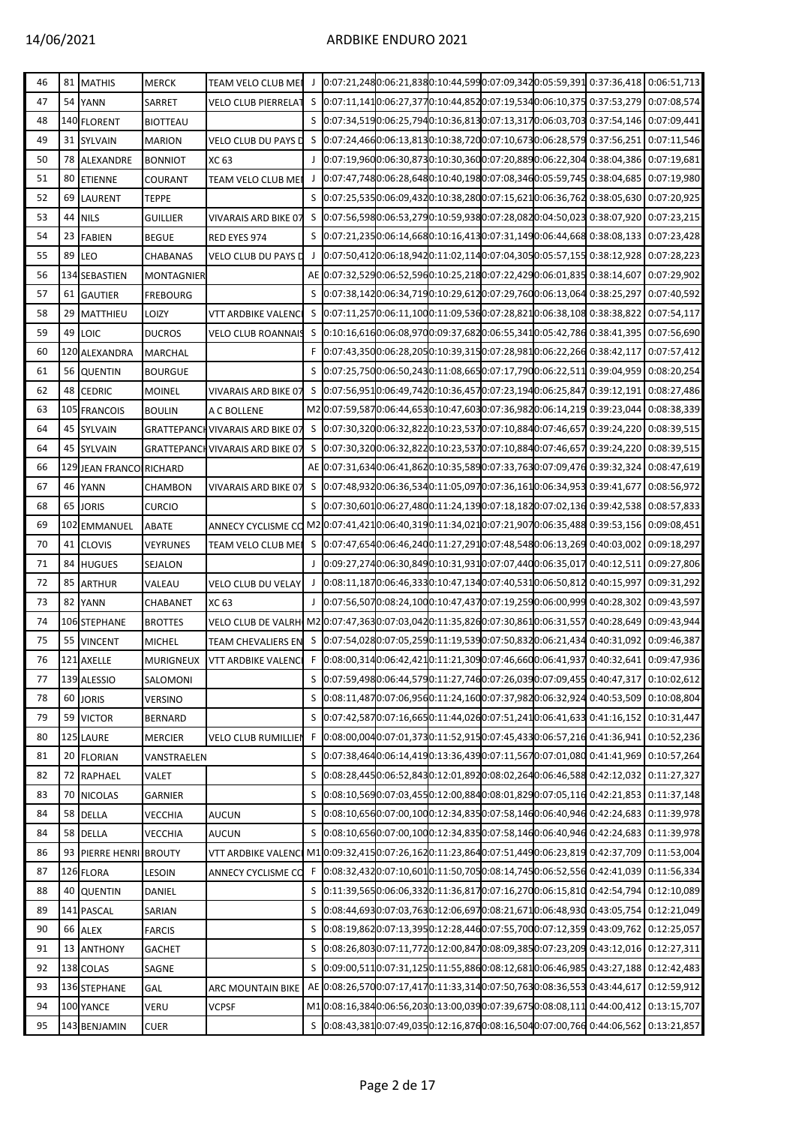## 14/06/2021 ARDBIKE ENDURO 2021

| 46 |    | 81 MATHIS               | <b>MERCK</b>      | <b>TEAM VELO CLUB MEI</b>                                                                             |   |  |  | $[0.07.21, 2480.06.21, 8380.10.44, 5990.07.09, 3420.05.59, 3910.37.36, 418]0.06.51, 713]$ |             |
|----|----|-------------------------|-------------------|-------------------------------------------------------------------------------------------------------|---|--|--|-------------------------------------------------------------------------------------------|-------------|
| 47 | 54 | <b>YANN</b>             | SARRET            | <b>VELO CLUB PIERRELAT</b>                                                                            | S |  |  | $[0.07:11,141]0:06:27,377]0:10:44,852]0:07:19,534]0:06:10,375]0:37:53,279]0:07:08,574$    |             |
| 48 |    | 140 FLORENT             | <b>BIOTTEAU</b>   |                                                                                                       |   |  |  | \$ 0:07:34,5190:06:25,7940:10:36,8130:07:13,3170:06:03,703 0:37:54,146 0:07:09,441        |             |
| 49 |    | 31 SYLVAIN              | <b>MARION</b>     | VELO CLUB DU PAYS D                                                                                   |   |  |  | \$ 0:07:24,4660:06:13,8130:10:38,7200:07:10,6730:06:28,579 0:37:56,251 0:07:11,546        |             |
| 50 |    | 78 ALEXANDRE            | <b>BONNIOT</b>    | XC 63                                                                                                 |   |  |  | 0:07:19,9600:06:30,8730:10:30,3600:07:20,8890:06:22,304 0:38:04,386 0:07:19,681           |             |
| 51 |    | 80 ETIENNE              | COURANT           | TEAM VELO CLUB MEI                                                                                    |   |  |  | 0:07:47,7480:06:28,6480:10:40,1980:07:08,3460:05:59,745 0:38:04,685 0:07:19,980           |             |
| 52 | 69 | <b>LAURENT</b>          | <b>TEPPE</b>      |                                                                                                       |   |  |  | S 0:07:25,5350:06:09,4320:10:38,2800:07:15,6210:06:36,762 0:38:05,630 0:07:20,925         |             |
| 53 |    | 44 NILS                 | <b>GUILLIER</b>   | <b>VIVARAIS ARD BIKE 07</b>                                                                           |   |  |  | S 0:07:56,5980:06:53,2790:10:59,9380:07:28,0820:04:50,023 0:38:07,920 0:07:23,215         |             |
| 54 |    | 23 FABIEN               | <b>BEGUE</b>      | RED EYES 974                                                                                          |   |  |  | \$ 0:07:21,2350:06:14,6680:10:16,4130:07:31,1490:06:44,668 0:38:08,133 0:07:23,428        |             |
| 55 | 89 | <b>LEO</b>              | CHABANAS          | <b>VELO CLUB DU PAYS D</b>                                                                            |   |  |  | $0.07:50,4120:06:18,9420:11:02,1140:07:04,3050:05:57,1550:38:12,92800:07:28,223$          |             |
| 56 |    | 134 SEBASTIEN           | <b>MONTAGNIER</b> |                                                                                                       |   |  |  | AE 0:07:32,5290:06:52,5960:10:25,2180:07:22,4290:06:01,835 0:38:14,607 0:07:29,902        |             |
| 57 |    | 61 GAUTIER              | <b>FREBOURG</b>   |                                                                                                       |   |  |  | S 0:07:38,1420:06:34,7190:10:29,6120:07:29,7600:06:13,064 0:38:25,297 0:07:40,592         |             |
| 58 |    | 29 MATTHIEU             | LOIZY             | VTT ARDBIKE VALENCI                                                                                   |   |  |  | S 0:07:11,2570:06:11,1000:11:09,5360:07:28,8210:06:38,108 0:38:38,822 0:07:54,117         |             |
| 59 | 49 | LOIC                    | <b>DUCROS</b>     | VELO CLUB ROANNAIS                                                                                    |   |  |  | S 0:10:16,6160:06:08,9700:09:37,6820:06:55,3410:05:42,786 0:38:41,395 0:07:56,690         |             |
| 60 |    | 120 ALEXANDRA           | <b>MARCHAL</b>    |                                                                                                       |   |  |  | F 0:07:43,3500:06:28,2050:10:39,3150:07:28,9810:06:22,266 0:38:42,117                     | 0:07:57,412 |
| 61 |    | 56 QUENTIN              | <b>BOURGUE</b>    |                                                                                                       |   |  |  | S 0:07:25,7500:06:50,2430:11:08,6650:07:17,7900:06:22,511 0:39:04,959 0:08:20,254         |             |
| 62 | 48 | <b>CEDRIC</b>           | <b>MOINEL</b>     | VIVARAIS ARD BIKE 07                                                                                  | S |  |  | $[0.07:56,951]0.06:49,742]0:10:36,457]0:07:23,194]0:06:25,847]0:39:12,191]0:08:27,486$    |             |
| 63 |    | 105 FRANCOIS            | <b>BOULIN</b>     | A C BOLLENE                                                                                           |   |  |  | M20:07:59,5870:06:44,6530:10:47,6030:07:36,9820:06:14,219 0:39:23,044 0:08:38,339         |             |
| 64 |    | 45 SYLVAIN              |                   | <b>GRATTEPANCH VIVARAIS ARD BIKE 07</b>                                                               |   |  |  | \$ 0:07:30,3200:06:32,8220:10:23,5370:07:10,8840:07:46,657 0:39:24,220 0:08:39,515        |             |
| 64 |    | 45 SYLVAIN              |                   | <b>GRATTEPANCH VIVARAIS ARD BIKE 07</b>                                                               |   |  |  | \$ 0:07:30,3200:06:32,8220:10:23,5370:07:10,8840:07:46,657 0:39:24,220 0:08:39,515        |             |
| 66 |    | 129 JEAN FRANCO RICHARD |                   |                                                                                                       |   |  |  | AE 0:07:31,6340:06:41,8620:10:35,5890:07:33,7630:07:09,476 0:39:32,324 0:08:47,619        |             |
| 67 | 46 | <b>YANN</b>             | CHAMBON           | <b>VIVARAIS ARD BIKE 07</b>                                                                           |   |  |  | S 0:07:48,9320:06:36,5340:11:05,0970:07:36,1610:06:34,953 0:39:41,677                     | 0:08:56,972 |
| 68 |    | 65 JORIS                | <b>CURCIO</b>     |                                                                                                       |   |  |  | S 0:07:30,6010:06:27,4800:11:24,1390:07:18,1820:07:02,136 0:39:42,538 0:08:57,833         |             |
| 69 |    | 102 EMMANUEL            | ABATE             | ANNECY CYCLISME CO M2 0:07:41,4210:06:40,3190:11:34,0210:07:21,9070:06:35,488 0:39:53,156 0:09:08,451 |   |  |  |                                                                                           |             |
| 70 |    | 41 CLOVIS               | VEYRUNES          | TEAM VELO CLUB MEI                                                                                    |   |  |  | \$ 0:07:47,6540:06:46,2400:11:27,2910:07:48,5480:06:13,269 0:40:03,002 0:09:18,297        |             |
| 71 |    | 84 HUGUES               | SEJALON           |                                                                                                       |   |  |  | 0:09:27,2740:06:30,8490:10:31,9310:07:07,4400:06:35,017 0:40:12,511 0:09:27,806           |             |
| 72 | 85 | <b>ARTHUR</b>           | VALEAU            | <b>VELO CLUB DU VELAY</b>                                                                             | J |  |  | $[0.08:11,1870:06:46,3330:10:47,1340:07:40,5310:06:50,812]$ 0:40:15,997 0:09:31,292       |             |
| 73 |    | 82 YANN                 | CHABANET          | XC 63                                                                                                 |   |  |  | 0:07:56,5070:08:24,1000:10:47,4370:07:19,2590:06:00,999 0:40:28,302 0:09:43,597           |             |
| 74 |    | 106 STEPHANE            | <b>BROTTES</b>    | VELO CLUB DE VALRH M2 0:07:47,3630:07:03,0420:11:35,8260:07:30,8610:06:31,557 0:40:28,649 0:09:43,944 |   |  |  |                                                                                           |             |
| 75 | 55 | <b>VINCENT</b>          | <b>MICHEL</b>     | <b>TEAM CHEVALIERS EN</b>                                                                             |   |  |  | \$ 0:07:54,0280:07:05,2590:11:19,5390:07:50,8320:06:21,434 0:40:31,092 0:09:46,387        |             |
| 76 |    | 121 AXELLE              |                   | MURIGNEUX VTT ARDBIKE VALENCI                                                                         |   |  |  | F 0:08:00,3140:06:42,4210:11:21,3090:07:46,6600:06:41,937 0:40:32,641 0:09:47,936         |             |
| 77 |    | 139 ALESSIO             | SALOMONI          |                                                                                                       |   |  |  | S 0:07:59,4980:06:44,5790:11:27,7460:07:26,0390:07:09,455 0:40:47,317                     | 0:10:02,612 |
| 78 |    | 60 JORIS                | <b>VERSINO</b>    |                                                                                                       |   |  |  | S 0:08:11,4870:07:06,9560:11:24,1600:07:37,9820:06:32,924 0:40:53,509 0:10:08,804         |             |
| 79 | 59 | <b>VICTOR</b>           | <b>BERNARD</b>    |                                                                                                       |   |  |  | S 0:07:42,5870:07:16,6650:11:44,0260:07:51,2410:06:41,633 0:41:16,152 0:10:31,447         |             |
| 80 |    | 125 LAURE               | <b>MERCIER</b>    | VELO CLUB RUMILLIEN                                                                                   |   |  |  | F 0:08:00,0040:07:01,3730:11:52,9150:07:45,4330:06:57,216 0:41:36,941 0:10:52,236         |             |
| 81 |    | 20 FLORIAN              | VANSTRAELEN       |                                                                                                       |   |  |  | S 0:07:38,4640:06:14,4190:13:36,4390:07:11,5670:07:01,080 0:41:41,969 0:10:57,264         |             |
| 82 |    | 72 RAPHAEL              | VALET             |                                                                                                       | S |  |  | 0:08:28,4450:06:52,8430:12:01,8920:08:02,2640:06:46,588 0:42:12,032 0:11:27,327           |             |
| 83 |    | 70 NICOLAS              | <b>GARNIER</b>    |                                                                                                       |   |  |  | S 0:08:10,5690:07:03,4550:12:00,8840:08:01,8290:07:05,116 0:42:21,853 0:11:37,148         |             |
| 84 | 58 | <b>DELLA</b>            | VECCHIA           | <b>AUCUN</b>                                                                                          |   |  |  | S 0:08:10,6560:07:00,1000:12:34,8350:07:58,1460:06:40,946 0:42:24,683 0:11:39,978         |             |
| 84 |    | 58 DELLA                | VECCHIA           | <b>AUCUN</b>                                                                                          |   |  |  | S 0:08:10,6560:07:00,1000:12:34,8350:07:58,1460:06:40,946 0:42:24,683 0:11:39,978         |             |
| 86 | 93 | PIERRE HENRI BROUTY     |                   | VTT ARDBIKE VALENCI                                                                                   |   |  |  | M10:09:32,4150:07:26,1620:11:23,8640:07:51,4490:06:23,819 0:42:37,709 0:11:53,004         |             |
| 87 |    | 126 FLORA               | LESOIN            | ANNECY CYCLISME CO                                                                                    | F |  |  | 0:08:32,4320:07:10,6010:11:50,7050:08:14,7450:06:52,556 0:42:41,039 0:11:56,334           |             |
| 88 |    | 40 QUENTIN              | DANIEL            |                                                                                                       |   |  |  | S 0:11:39,5650:06:06,3320:11:36,8170:07:16,2700:06:15,810 0:42:54,794 0:12:10,089         |             |
| 89 |    | 141 PASCAL              | SARIAN            |                                                                                                       |   |  |  | \$ 0:08:44,6930:07:03,7630:12:06,6970:08:21,6710:06:48,930 0:43:05,754 0:12:21,049        |             |
| 90 | 66 | <b>ALEX</b>             | <b>FARCIS</b>     |                                                                                                       |   |  |  | S 0:08:19,8620:07:13,3950:12:28,4460:07:55,7000:07:12,359 0:43:09,762 0:12:25,057         |             |
| 91 | 13 | <b>ANTHONY</b>          | <b>GACHET</b>     |                                                                                                       |   |  |  | \$ 0:08:26,8030:07:11,7720:12:00,8470:08:09,3850:07:23,209 0:43:12,016 0:12:27,311        |             |
| 92 |    | 138 COLAS               | SAGNE             |                                                                                                       |   |  |  | 0:09:00,5110:07:31,1250:11:55,8860:08:12,6810:06:46,985 0:43:27,188 0:12:42,483           |             |
| 93 |    | 136 STEPHANE            | GAL               | ARC MOUNTAIN BIKE                                                                                     |   |  |  | AE 0:08:26,5700:07:17,4170:11:33,3140:07:50,7630:08:36,553 0:43:44,617 0:12:59,912        |             |
| 94 |    | 100 YANCE               | VERU              | VCPSF                                                                                                 |   |  |  | M10:08:16,3840:06:56,2030:13:00,0390:07:39,6750:08:08,111 0:44:00,412 0:13:15,707         |             |
| 95 |    | 143 BENJAMIN            | <b>CUER</b>       |                                                                                                       |   |  |  | S 0:08:43,3810:07:49,0350:12:16,8760:08:16,5040:07:00,766 0:44:06,562 0:13:21,857         |             |
|    |    |                         |                   |                                                                                                       |   |  |  |                                                                                           |             |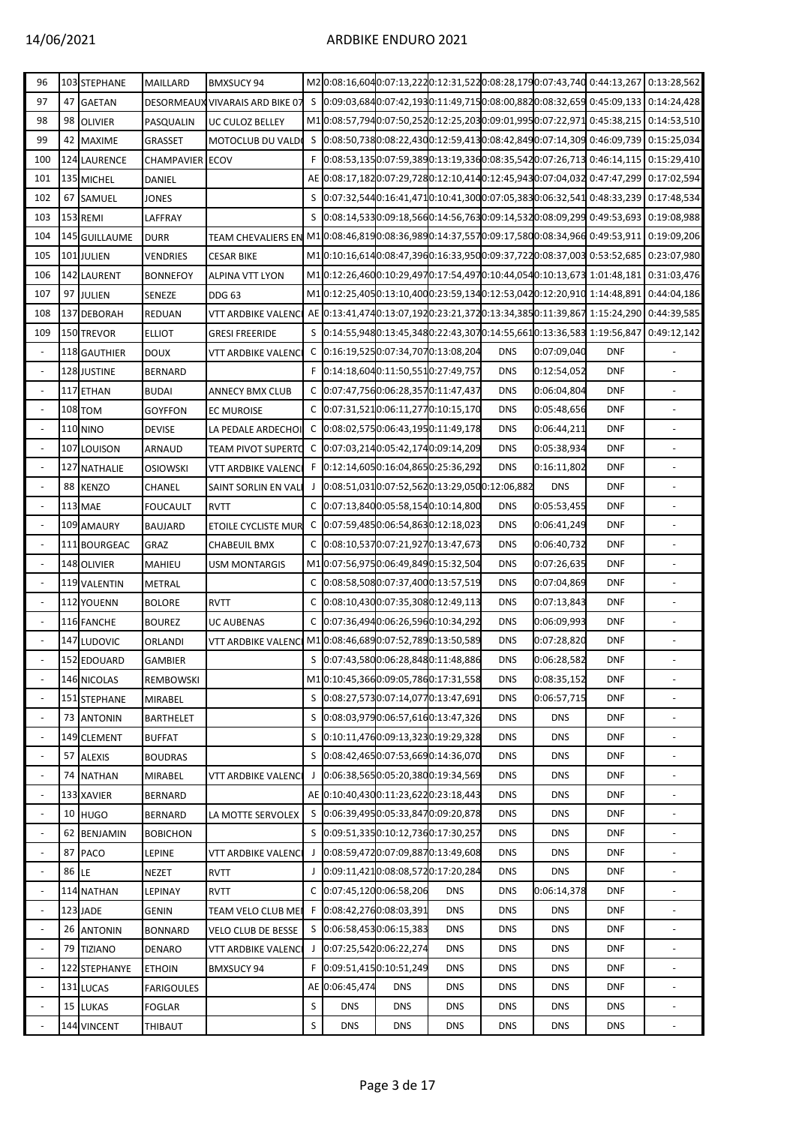## 14/06/2021 ARDBIKE ENDURO 2021

| 96                       |    | 103 STEPHANE        | MAILLARD               | <b>BMXSUCY 94</b>                                                                                     |    |                |                          |                                              |            |             | M20:08:16,6040:07:13,2220:12:31,5220:08:28,1790:07:43,740 0:44:13,267 0:13:28,562        |                          |
|--------------------------|----|---------------------|------------------------|-------------------------------------------------------------------------------------------------------|----|----------------|--------------------------|----------------------------------------------|------------|-------------|------------------------------------------------------------------------------------------|--------------------------|
| 97                       |    | 47 GAETAN           |                        | DESORMEAUX VIVARAIS ARD BIKE 07                                                                       |    |                |                          |                                              |            |             | S 0:09:03,6840:07:42,1930:11:49,7150:08:00,8820:08:32,659 0:45:09,133 0:14:24,428        |                          |
| 98                       |    | 98 OLIVIER          | PASQUALIN              | UC CULOZ BELLEY                                                                                       |    |                |                          |                                              |            |             | M10:08:57,7940:07:50,2520:12:25,2030:09:01,9950:07:22,971 0:45:38,215 0:14:53,510        |                          |
| 99                       |    | 42 MAXIME           | GRASSET                | MOTOCLUB DU VALDO                                                                                     |    |                |                          |                                              |            |             | \$ 0:08:50,7380:08:22,4300:12:59,4130:08:42,8490:07:14,309 0:46:09,739 0:15:25,034       |                          |
| 100                      |    | <b>124 LAURENCE</b> | <b>CHAMPAVIER ECOV</b> |                                                                                                       | F. |                |                          |                                              |            |             | $[0.08:53, 1350:07:59, 3890:13:19, 3360:08:35, 5420:07:26, 713]$ 0:46:14,115 0:15:29,410 |                          |
| 101                      |    | 135 MICHEL          | DANIEL                 |                                                                                                       |    |                |                          |                                              |            |             | AE 0:08:17,1820:07:29,7280:12:10,4140:12:45,9430:07:04,032 0:47:47,299 0:17:02,594       |                          |
| 102                      |    | 67 SAMUEL           | <b>JONES</b>           |                                                                                                       |    |                |                          |                                              |            |             | \$ 0:07:32,5440:16:41,4710:10:41,3000:07:05,3830:06:32,541 0:48:33,239 0:17:48,534       |                          |
| 103                      |    | 153 REMI            | LAFFRAY                |                                                                                                       |    |                |                          |                                              |            |             | \$ 0:08:14,5330:09:18,5660:14:56,7630:09:14,5320:08:09,299 0:49:53,693 0:19:08,988       |                          |
| 104                      |    | 145 GUILLAUME       | <b>DURR</b>            | TEAM CHEVALIERS EN M10:08:46,8190:08:36,9890:14:37,5570:09:17,5800:08:34,966 0:49:53,911 0:19:09,206  |    |                |                          |                                              |            |             |                                                                                          |                          |
| 105                      |    | 101 JULIEN          | <b>VENDRIES</b>        | <b>CESAR BIKE</b>                                                                                     |    |                |                          |                                              |            |             | M10:10:16,6140:08:47,3960:16:33,9500:09:37,7220:08:37,003 0:53:52,685 0:23:07,980        |                          |
| 106                      |    | 142 LAURENT         | <b>BONNEFOY</b>        | <b>ALPINA VTT LYON</b>                                                                                |    |                |                          |                                              |            |             | M10:12:26,4600:10:29,4970:17:54,4970:10:44,0540:10:13,673 1:01:48,181 0:31:03,476        |                          |
| 107                      |    | 97 JULIEN           | SENEZE                 | <b>DDG 63</b>                                                                                         |    |                |                          |                                              |            |             | M10:12:25,4050:13:10,4000:23:59,1340:12:53,0420:12:20,910 1:14:48,891 0:44:04,186        |                          |
| 108                      |    | 137 DEBORAH         | <b>REDUAN</b>          | VTT ARDBIKE VALENC AE 0:13:41,4740:13:07,1920:23:21,3720:13:34,3850:11:39,867 1:15:24,290 0:44:39,585 |    |                |                          |                                              |            |             |                                                                                          |                          |
| 109                      |    | 150 TREVOR          | <b>ELLIOT</b>          | <b>GRESI FREERIDE</b>                                                                                 |    |                |                          |                                              |            |             | S 0:14:55,9480:13:45,3480:22:43,3070:14:55,6610:13:36,583 1:19:56,847 0:49:12,142        |                          |
| $\blacksquare$           |    | 118 GAUTHIER        | <b>DOUX</b>            | <b>VTT ARDBIKE VALENCI</b>                                                                            |    |                |                          | C 0:16:19,5250:07:34,7070:13:08,204          | <b>DNS</b> | 0:07:09,040 | <b>DNF</b>                                                                               |                          |
| $\blacksquare$           |    | 128 JUSTINE         | <b>BERNARD</b>         |                                                                                                       |    |                |                          | F 0:14:18,6040:11:50,5510:27:49,757          | <b>DNS</b> | 0:12:54,052 | <b>DNF</b>                                                                               |                          |
| $\overline{\phantom{a}}$ |    | 117 ETHAN           | <b>BUDAI</b>           | <b>ANNECY BMX CLUB</b>                                                                                |    |                |                          | C 0:07:47,7560:06:28,3570:11:47,437          | <b>DNS</b> | 0:06:04,804 | <b>DNF</b>                                                                               |                          |
| $\blacksquare$           |    | <b>108 TOM</b>      | <b>GOYFFON</b>         | <b>EC MUROISE</b>                                                                                     |    |                |                          | C 0:07:31,5210:06:11,2770:10:15,170          | <b>DNS</b> | 0:05:48,656 | <b>DNF</b>                                                                               |                          |
| $\blacksquare$           |    | <b>110 NINO</b>     | <b>DEVISE</b>          | LA PEDALE ARDECHOI!                                                                                   |    |                |                          | C 0:08:02,5750:06:43,1950:11:49,178          | <b>DNS</b> | 0:06:44,211 | <b>DNF</b>                                                                               |                          |
| $\blacksquare$           |    | 107 LOUISON         | ARNAUD                 | <b>TEAM PIVOT SUPERTO</b>                                                                             |    |                |                          | C 0:07:03,2140:05:42,1740:09:14,209          | <b>DNS</b> | 0:05:38,934 | <b>DNF</b>                                                                               |                          |
| $\blacksquare$           |    | 127 NATHALIE        | <b>OSIOWSKI</b>        | <b>VTT ARDBIKE VALENCI</b>                                                                            |    |                |                          | F 0:12:14,6050:16:04,8650:25:36,292          | <b>DNS</b> | 0:16:11,802 | <b>DNF</b>                                                                               |                          |
| $\overline{\phantom{a}}$ |    | 88 KENZO            | CHANEL                 | SAINT SORLIN EN VALI                                                                                  |    |                |                          | 0:08:51,0310:07:52,5620:13:29,0500:12:06,882 |            | <b>DNS</b>  | <b>DNF</b>                                                                               |                          |
| $\blacksquare$           |    | <b>113 MAE</b>      | <b>FOUCAULT</b>        | <b>RVTT</b>                                                                                           |    |                |                          | C 0:07:13,8400:05:58,1540:10:14,800          | <b>DNS</b> | 0:05:53,455 | <b>DNF</b>                                                                               |                          |
| $\blacksquare$           |    | 109 AMAURY          | <b>BAUJARD</b>         | ETOILE CYCLISTE MUR                                                                                   |    |                |                          | C 0:07:59,4850:06:54,8630:12:18,023          | <b>DNS</b> | 0:06:41,249 | <b>DNF</b>                                                                               |                          |
| $\blacksquare$           |    | 111 BOURGEAC        | GRAZ                   | <b>CHABEUIL BMX</b>                                                                                   |    |                |                          | C 0:08:10,5370:07:21,9270:13:47,673          | <b>DNS</b> | 0:06:40,732 | <b>DNF</b>                                                                               |                          |
| $\Box$                   |    | 148 OLIVIER         | MAHIEU                 | <b>USM MONTARGIS</b>                                                                                  |    |                |                          | M1 0:07:56,9750:06:49,8490:15:32,504         | <b>DNS</b> | 0:07:26,635 | <b>DNF</b>                                                                               |                          |
| $\overline{\phantom{a}}$ |    | 119 VALENTIN        | <b>METRAL</b>          |                                                                                                       | C  |                |                          | 0:08:58,5080:07:37,4000:13:57,519            | <b>DNS</b> | 0:07:04,869 | <b>DNF</b>                                                                               |                          |
| $\blacksquare$           |    | 112 YOUENN          | <b>BOLORE</b>          | <b>RVTT</b>                                                                                           |    |                |                          | C 0:08:10,4300:07:35,3080:12:49,113          | <b>DNS</b> | 0:07:13,843 | <b>DNF</b>                                                                               |                          |
| $\overline{\phantom{a}}$ |    | 116 FANCHE          | <b>BOUREZ</b>          | UC AUBENAS                                                                                            |    |                |                          | C 0:07:36,4940:06:26,5960:10:34,292          | <b>DNS</b> | 0:06:09,993 | <b>DNF</b>                                                                               |                          |
| $\blacksquare$           |    | 147 LUDOVIC         | ORLANDI                | VTT ARDBIKE VALENC M1 0:08:46,6890:07:52,7890:13:50,589                                               |    |                |                          |                                              | <b>DNS</b> | 0:07:28,820 | <b>DNF</b>                                                                               |                          |
|                          |    | 152 EDOUARD         | <b>GAMBIER</b>         |                                                                                                       |    |                |                          | S 0:07:43,5800:06:28,8480:11:48,886          | <b>DNS</b> | 0:06:28,582 | <b>DNF</b>                                                                               |                          |
| $\blacksquare$           |    | 146 NICOLAS         | REMBOWSKI              |                                                                                                       |    |                |                          | M1 0:10:45,3660:09:05,7860:17:31,558         | <b>DNS</b> | 0:08:35,152 | <b>DNF</b>                                                                               |                          |
| $\omega$                 |    | 151 STEPHANE        | MIRABEL                |                                                                                                       |    |                |                          | S 0:08:27,5730:07:14,0770:13:47,691          | <b>DNS</b> | 0:06:57,715 | <b>DNF</b>                                                                               |                          |
| $\blacksquare$           |    | 73 ANTONIN          | <b>BARTHELET</b>       |                                                                                                       |    |                |                          | S 0:08:03,9790:06:57,6160:13:47,326          | <b>DNS</b> | <b>DNS</b>  | <b>DNF</b>                                                                               |                          |
| $\Box$                   |    | 149 CLEMENT         | <b>BUFFAT</b>          |                                                                                                       |    |                |                          | S 0:10:11,4760:09:13,3230:19:29,328          | <b>DNS</b> | <b>DNS</b>  | <b>DNF</b>                                                                               |                          |
| $\blacksquare$           |    | 57 ALEXIS           | <b>BOUDRAS</b>         |                                                                                                       |    |                |                          | S 0:08:42,4650:07:53,6690:14:36,070          | <b>DNS</b> | <b>DNS</b>  | <b>DNF</b>                                                                               |                          |
| $\overline{\phantom{a}}$ | 74 | <b>NATHAN</b>       | MIRABEL                | VTT ARDBIKE VALENCI                                                                                   | J  |                |                          | 0:06:38,5650:05:20,3800:19:34,569            | <b>DNS</b> | <b>DNS</b>  | <b>DNF</b>                                                                               |                          |
| $\blacksquare$           |    | 133 XAVIER          | <b>BERNARD</b>         |                                                                                                       |    |                |                          | AE 0:10:40,4300:11:23,6220:23:18,443         | <b>DNS</b> | <b>DNS</b>  | <b>DNF</b>                                                                               |                          |
| $\blacksquare$           |    | 10 HUGO             | <b>BERNARD</b>         | LA MOTTE SERVOLEX                                                                                     |    |                |                          | S 0:06:39,4950:05:33,8470:09:20,878          | <b>DNS</b> | <b>DNS</b>  | <b>DNF</b>                                                                               |                          |
| $\blacksquare$           |    | 62 BENJAMIN         | <b>BOBICHON</b>        |                                                                                                       |    |                |                          | S 0:09:51,3350:10:12,7360:17:30,257          | <b>DNS</b> | <b>DNS</b>  | <b>DNF</b>                                                                               | $\blacksquare$           |
| $\overline{\phantom{a}}$ |    | 87 PACO             | <b>LEPINE</b>          | VTT ARDBIKE VALENCI                                                                                   | J  |                |                          | 0:08:59,4720:07:09,8870:13:49,608            | <b>DNS</b> | <b>DNS</b>  | <b>DNF</b>                                                                               |                          |
| $\blacksquare$           | 86 | LE                  | NEZET                  | <b>RVTT</b>                                                                                           | J  |                |                          | 0:09:11,4210:08:08,5720:17:20,284            | <b>DNS</b> | <b>DNS</b>  | <b>DNF</b>                                                                               |                          |
| $\omega$                 |    | 114 NATHAN          | LEPINAY                | <b>RVTT</b>                                                                                           |    |                | C 0:07:45,1200:06:58,206 | <b>DNS</b>                                   | <b>DNS</b> | 0:06:14,378 | <b>DNF</b>                                                                               |                          |
| $\blacksquare$           |    | 123 JADE            | GENIN                  | TEAM VELO CLUB MEI                                                                                    |    |                | F 0:08:42,2760:08:03,391 | <b>DNS</b>                                   | <b>DNS</b> | <b>DNS</b>  | <b>DNF</b>                                                                               |                          |
| $\blacksquare$           |    | 26 ANTONIN          | <b>BONNARD</b>         | VELO CLUB DE BESSE                                                                                    |    |                | S 0:06:58,4530:06:15,383 | <b>DNS</b>                                   | <b>DNS</b> | <b>DNS</b>  | <b>DNF</b>                                                                               |                          |
| $\Box$                   | 79 | <b>TIZIANO</b>      | <b>DENARO</b>          | VTT ARDBIKE VALENCI                                                                                   | J  |                | 0:07:25,5420:06:22,274   | <b>DNS</b>                                   | <b>DNS</b> | <b>DNS</b>  | <b>DNF</b>                                                                               |                          |
| $\blacksquare$           |    | 122 STEPHANYE       | <b>ETHOIN</b>          | <b>BMXSUCY 94</b>                                                                                     | F. |                | 0:09:51,4150:10:51,249   | <b>DNS</b>                                   | <b>DNS</b> | <b>DNS</b>  | <b>DNF</b>                                                                               |                          |
| $\Box$                   |    | 131 LUCAS           | <b>FARIGOULES</b>      |                                                                                                       |    | AE 0:06:45,474 | <b>DNS</b>               | <b>DNS</b>                                   | <b>DNS</b> | <b>DNS</b>  | <b>DNF</b>                                                                               |                          |
| $\blacksquare$           |    | 15 LUKAS            | <b>FOGLAR</b>          |                                                                                                       | S  | <b>DNS</b>     | <b>DNS</b>               | <b>DNS</b>                                   | <b>DNS</b> | <b>DNS</b>  | <b>DNS</b>                                                                               |                          |
| $\blacksquare$           |    | 144 VINCENT         | THIBAUT                |                                                                                                       | S  | <b>DNS</b>     | <b>DNS</b>               | <b>DNS</b>                                   | <b>DNS</b> | <b>DNS</b>  | <b>DNS</b>                                                                               | $\overline{\phantom{a}}$ |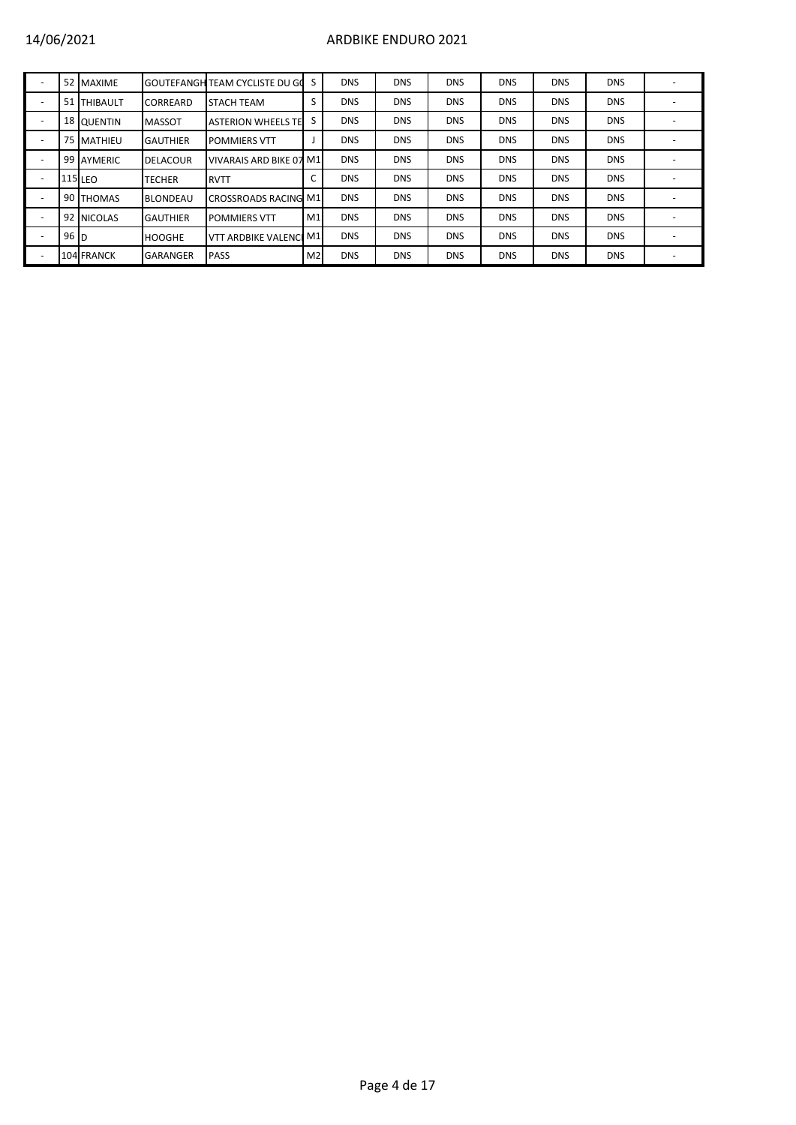## 14/06/2021 ARDBIKE ENDURO 2021

|                 | 52 MAXIME      |                 | <b>GOUTEFANGH TEAM CYCLISTE DU GO</b> | S.             | <b>DNS</b> | <b>DNS</b> | <b>DNS</b> | <b>DNS</b> | <b>DNS</b> | <b>DNS</b> |  |
|-----------------|----------------|-----------------|---------------------------------------|----------------|------------|------------|------------|------------|------------|------------|--|
|                 | 51 THIBAULT    | <b>CORREARD</b> | <b>STACH TEAM</b>                     | S              | <b>DNS</b> | <b>DNS</b> | <b>DNS</b> | <b>DNS</b> | <b>DNS</b> | <b>DNS</b> |  |
|                 | 18 QUENTIN     | <b>MASSOT</b>   | <b>ASTERION WHEELS TE</b>             | S              | <b>DNS</b> | <b>DNS</b> | <b>DNS</b> | <b>DNS</b> | <b>DNS</b> | <b>DNS</b> |  |
|                 | 75 MATHIEU     | <b>GAUTHIER</b> | <b>POMMIERS VTT</b>                   |                | <b>DNS</b> | <b>DNS</b> | <b>DNS</b> | <b>DNS</b> | <b>DNS</b> | <b>DNS</b> |  |
|                 | 99 AYMERIC     | <b>DELACOUR</b> | VIVARAIS ARD BIKE 07 M1               |                | <b>DNS</b> | <b>DNS</b> | <b>DNS</b> | <b>DNS</b> | <b>DNS</b> | <b>DNS</b> |  |
|                 | <b>115 LEO</b> | TECHER          | <b>RVTT</b>                           |                | <b>DNS</b> | <b>DNS</b> | <b>DNS</b> | <b>DNS</b> | <b>DNS</b> | <b>DNS</b> |  |
|                 | 90 THOMAS      | <b>BLONDEAU</b> | <b>CROSSROADS RACING M1</b>           |                | <b>DNS</b> | <b>DNS</b> | <b>DNS</b> | <b>DNS</b> | <b>DNS</b> | <b>DNS</b> |  |
|                 | 92 NICOLAS     | <b>GAUTHIER</b> | <b>POMMIERS VTT</b>                   | M1             | <b>DNS</b> | <b>DNS</b> | <b>DNS</b> | <b>DNS</b> | <b>DNS</b> | <b>DNS</b> |  |
| 96 <sub>h</sub> |                | <b>HOOGHE</b>   | VTT ARDBIKE VALENCI M1                |                | <b>DNS</b> | <b>DNS</b> | <b>DNS</b> | <b>DNS</b> | <b>DNS</b> | <b>DNS</b> |  |
|                 | 104 FRANCK     | <b>GARANGER</b> | <b>PASS</b>                           | M <sub>2</sub> | <b>DNS</b> | <b>DNS</b> | <b>DNS</b> | <b>DNS</b> | <b>DNS</b> | <b>DNS</b> |  |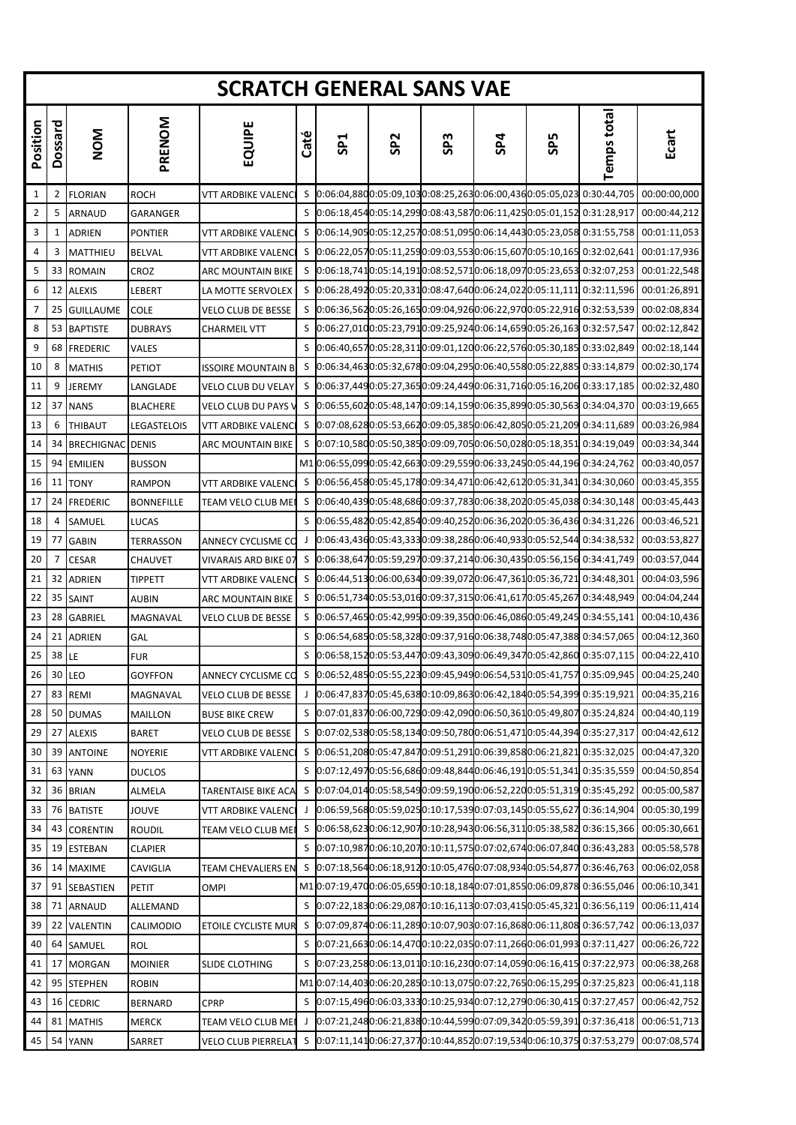|          |         |                         |                   | <b>SCRATCH GENERAL SANS VAE</b>                                                                       |      |                 |                 |                 |                                                            |            |                                                                        |              |
|----------|---------|-------------------------|-------------------|-------------------------------------------------------------------------------------------------------|------|-----------------|-----------------|-----------------|------------------------------------------------------------|------------|------------------------------------------------------------------------|--------------|
| Position | Dossard | <b>NOM</b>              | PRENOM            | EQUIPE                                                                                                | Caté | SP <sub>1</sub> | SP <sub>2</sub> | SP <sub>3</sub> | SP4                                                        | <b>SP5</b> | <b>Temps total</b>                                                     | Ecart        |
| 1        | 2       | <b>FLORIAN</b>          | <b>ROCH</b>       | VTT ARDBIKE VALENC                                                                                    |      |                 |                 |                 |                                                            |            | \$ 0:06:04,8800:05:09,1030:08:25,2630:06:00,4360:05:05,023 0:30:44,705 | 00:00:00,000 |
| 2        | 5       | ARNAUD                  | GARANGER          |                                                                                                       |      |                 |                 |                 |                                                            |            | \$ 0:06:18,4540:05:14,2990:08:43,5870:06:11,4250:05:01,152 0:31:28,917 | 00:00:44,212 |
| 3        | 1       | ADRIEN                  | <b>PONTIER</b>    | VTT ARDBIKE VALENC                                                                                    |      |                 |                 |                 |                                                            |            |                                                                        | 00:01:11,053 |
| 4        | 3       | MATTHIEU                | <b>BELVAL</b>     | VTT ARDBIKE VALENCI                                                                                   |      |                 |                 |                 |                                                            |            | S 0:06:22,0570:05:11,2590:09:03,5530:06:15,6070:05:10,165 0:32:02,641  | 00:01:17,936 |
| 5        | 33      | <b>ROMAIN</b>           | CROZ              | ARC MOUNTAIN BIKE                                                                                     |      |                 |                 |                 |                                                            |            | \$ 0:06:18,7410:05:14,1910:08:52,5710:06:18,0970:05:23,653 0:32:07,253 | 00:01:22,548 |
| 6        | 12      | <b>ALEXIS</b>           | LEBERT            | LA MOTTE SERVOLEX                                                                                     | S    |                 |                 |                 |                                                            |            | 0:06:28,4920:05:20,3310:08:47,6400:06:24,0220:05:11,111 0:32:11,596    | 00:01:26,891 |
| 7        | 25      | <b>GUILLAUME</b>        | <b>COLE</b>       | VELO CLUB DE BESSE                                                                                    |      |                 |                 |                 |                                                            |            | S 0:06:36,5620:05:26,1650:09:04,9260:06:22,9700:05:22,916 0:32:53,539  | 00:02:08,834 |
| 8        | 53      | <b>BAPTISTE</b>         | <b>DUBRAYS</b>    | CHARMEIL VTT                                                                                          |      |                 |                 |                 |                                                            |            | S 0:06:27,0100:05:23,7910:09:25,9240:06:14,6590:05:26,163 0:32:57,547  | 00:02:12,842 |
| 9        | 68      | <b>FREDERIC</b>         | VALES             |                                                                                                       |      |                 |                 |                 |                                                            |            | S 0:06:40,6570:05:28,3110:09:01,1200:06:22,5760:05:30,185 0:33:02,849  | 00:02:18,144 |
| 10       | 8       | <b>MATHIS</b>           | <b>PETIOT</b>     | <b>ISSOIRE MOUNTAIN B</b>                                                                             |      |                 |                 |                 |                                                            |            | \$ 0:06:34,4630:05:32,6780:09:04,2950:06:40,5580:05:22,885 0:33:14,879 | 00:02:30,174 |
| 11       | 9       | <b>JEREMY</b>           | LANGLADE          | VELO CLUB DU VELAY                                                                                    |      |                 |                 |                 |                                                            |            | 0:06:37,4490:05:27,3650:09:24,4490:06:31,7160:05:16,206 0:33:17,185    | 00:02:32,480 |
| 12       | 37      | <b>NANS</b>             | <b>BLACHERE</b>   | VELO CLUB DU PAYS V                                                                                   | S.   |                 |                 |                 |                                                            |            | 0:06:55,6020:05:48,1470:09:14,1590:06:35,8990:05:30,563 0:34:04,370    | 00:03:19,665 |
| 13       | 6       | <b>THIBAUT</b>          | LEGASTELOIS       | VTT ARDBIKE VALENCI                                                                                   |      |                 |                 |                 |                                                            |            | S 0:07:08,6280:05:53,6620:09:05,3850:06:42,8050:05:21,209 0:34:11,689  | 00:03:26,984 |
| 14       | 34      | <b>BRECHIGNAC DENIS</b> |                   | ARC MOUNTAIN BIKE                                                                                     |      |                 |                 |                 | \$ 0:07:10,5800:05:50,3850:09:09,7050:06:50,0280:05:18,351 |            | 0:34:19,049                                                            | 00:03:34,344 |
| 15       | 94      | <b>EMILIEN</b>          | <b>BUSSON</b>     |                                                                                                       |      |                 |                 |                 |                                                            |            | M10:06:55,0990:05:42,6630:09:29,5590:06:33,2450:05:44,196 0:34:24,762  | 00:03:40,057 |
| 16       | 11      | <b>TONY</b>             | <b>RAMPON</b>     | VTT ARDBIKE VALENCI                                                                                   | S    |                 |                 |                 |                                                            |            | 0:06:56,4580:05:45,1780:09:34,4710:06:42,6120:05:31,341 0:34:30,060    | 00:03:45,355 |
| 17       | 24      | <b>FREDERIC</b>         | <b>BONNEFILLE</b> | TEAM VELO CLUB MEI                                                                                    |      |                 |                 |                 |                                                            |            | 0:06:40,4390:05:48,6860:09:37,7830:06:38,2020:05:45,038 0:34:30,148    | 00:03:45,443 |
| 18       | 4       | SAMUEL                  | LUCAS             |                                                                                                       |      |                 |                 |                 |                                                            |            | \$ 0:06:55,4820:05:42,8540:09:40,2520:06:36,2020:05:36,436 0:34:31,226 | 00:03:46,521 |
| 19       | 77      | <b>GABIN</b>            | TERRASSON         | ANNECY CYCLISME CO                                                                                    |      |                 |                 |                 |                                                            |            | 0:06:43,4360:05:43,3330:09:38,2860:06:40,9330:05:52,544 0:34:38,532    | 00:03:53,827 |
| 20       | 7       | <b>CESAR</b>            | CHAUVET           | VIVARAIS ARD BIKE 07                                                                                  |      |                 |                 |                 |                                                            |            | S 0:06:38,6470:05:59,2970:09:37,2140:06:30,4350:05:56,156 0:34:41,749  | 00:03:57,044 |
| 21       | 32      | <b>ADRIEN</b>           | TIPPETT           | VTT ARDBIKE VALENCI                                                                                   |      |                 |                 |                 |                                                            |            | S 0:06:44,5130:06:00,6340:09:39,0720:06:47,3610:05:36,721 0:34:48,301  | 00:04:03,596 |
| 22       | 35      | SAINT                   | AUBIN             | ARC MOUNTAIN BIKE                                                                                     |      |                 |                 |                 |                                                            |            | \$ 0:06:51,7340:05:53,0160:09:37,3150:06:41,6170:05:45,267 0:34:48,949 | 00:04:04,244 |
| 23       | 28      | <b>GABRIEL</b>          | MAGNAVAL          | VELO CLUB DE BESSE                                                                                    |      |                 |                 |                 |                                                            |            | \$ 0:06:57,4650:05:42,9950:09:39,3500:06:46,0860:05:49,245 0:34:55,141 | 00:04:10,436 |
| 24       | 21      | <b>ADRIEN</b>           | GAL               |                                                                                                       |      |                 |                 |                 |                                                            |            | \$ 0:06:54,6850:05:58,3280:09:37,9160:06:38,7480:05:47,388 0:34:57,065 | 00:04:12,360 |
| 25       | 38      | LE                      | <b>FUR</b>        |                                                                                                       |      |                 |                 |                 |                                                            |            | \$ 0:06:58,1520:05:53,4470:09:43,3090:06:49,3470:05:42,860 0:35:07,115 | 00:04:22,410 |
| 26       |         | 30 LEO                  | <b>GOYFFON</b>    | ANNECY CYCLISME CO S 0:06:52,4850:05:55,2230:09:45,9490:06:54,5310:05:41,757 0:35:09,945 00:04:25,240 |      |                 |                 |                 |                                                            |            |                                                                        |              |
| 27       | 83      | <b>REMI</b>             | MAGNAVAL          | <b>VELO CLUB DE BESSE</b>                                                                             |      |                 |                 |                 |                                                            |            | 0:06:47,8370:05:45,6380:10:09,8630:06:42,1840:05:54,399 0:35:19,921    | 00:04:35,216 |
| 28       | 50      | <b>DUMAS</b>            | <b>MAILLON</b>    | <b>BUSE BIKE CREW</b>                                                                                 |      |                 |                 |                 |                                                            |            | \$ 0:07:01,8370:06:00,7290:09:42,0900:06:50,3610:05:49,807 0:35:24,824 | 00:04:40,119 |
| 29       | 27      | <b>ALEXIS</b>           | <b>BARET</b>      | <b>VELO CLUB DE BESSE</b>                                                                             |      |                 |                 |                 |                                                            |            | \$ 0:07:02,5380:05:58,1340:09:50,7800:06:51,4710:05:44,394 0:35:27,317 | 00:04:42,612 |
| 30       | 39      | <b>ANTOINE</b>          | <b>NOYERIE</b>    | VTT ARDBIKE VALENCI                                                                                   |      |                 |                 |                 |                                                            |            | S 0:06:51,2080:05:47,8470:09:51,2910:06:39,8580:06:21,821 0:35:32,025  | 00:04:47,320 |
| 31       | 63      | YANN                    | <b>DUCLOS</b>     |                                                                                                       | S    |                 |                 |                 |                                                            |            | 0:07:12,4970:05:56,6860:09:48,8440:06:46,1910:05:51,341 0:35:35,559    | 00:04:50,854 |
| 32       | 36      | <b>BRIAN</b>            | ALMELA            | TARENTAISE BIKE ACA                                                                                   | S    |                 |                 |                 |                                                            |            | 0:07:04,0140:05:58,5490:09:59,1900:06:52,2200:05:51,319 0:35:45,292    | 00:05:00,587 |
| 33       | 76      | <b>BATISTE</b>          | JOUVE             | VTT ARDBIKE VALENCI                                                                                   |      |                 |                 |                 |                                                            |            | 0:06:59,5680:05:59,0250:10:17,5390:07:03,1450:05:55,627 0:36:14,904    | 00:05:30,199 |
| 34       | 43      | <b>CORENTIN</b>         | <b>ROUDIL</b>     | TEAM VELO CLUB MEI                                                                                    |      |                 |                 |                 |                                                            |            | S 0:06:58,6230:06:12,9070:10:28,9430:06:56,3110:05:38,582 0:36:15,366  | 00:05:30,661 |
| 35       | 19      | ESTEBAN                 | <b>CLAPIER</b>    |                                                                                                       |      |                 |                 |                 |                                                            |            | S 0:07:10,9870:06:10,2070:10:11,5750:07:02,6740:06:07,840 0:36:43,283  | 00:05:58,578 |
| 36       | 14      | MAXIME                  | CAVIGLIA          | TEAM CHEVALIERS EN                                                                                    | S    |                 |                 |                 |                                                            |            | 0:07:18,5640:06:18,9120:10:05,4760:07:08,9340:05:54,877 0:36:46,763    | 00:06:02,058 |
| 37       | 91      | SEBASTIEN               | PETIT             | OMPI                                                                                                  |      |                 |                 |                 |                                                            |            | M1 0:07:19,4700:06:05,6590:10:18,1840:07:01,8550:06:09,878 0:36:55,046 | 00:06:10,341 |
| 38       | 71      | ARNAUD                  | ALLEMAND          |                                                                                                       |      |                 |                 |                 |                                                            |            | S 0:07:22,1830:06:29,0870:10:16,1130:07:03,4150:05:45,321 0:36:56,119  | 00:06:11,414 |
| 39       | 22      | VALENTIN                | CALIMODIO         | ETOILE CYCLISTE MUR                                                                                   |      |                 |                 |                 |                                                            |            | S 0:07:09,8740:06:11,2890:10:07,9030:07:16,8680:06:11,808 0:36:57,742  | 00:06:13,037 |
| 40       | 64      | SAMUEL                  | ROL               |                                                                                                       |      |                 |                 |                 |                                                            |            | S 0:07:21,6630:06:14,4700:10:22,0350:07:11,2660:06:01,993 0:37:11,427  | 00:06:26,722 |
| 41       | 17      | <b>MORGAN</b>           | <b>MOINIER</b>    | SLIDE CLOTHING                                                                                        | S    |                 |                 |                 |                                                            |            | 0:07:23,2580:06:13,0110:10:16,2300:07:14,0590:06:16,415 0:37:22,973    | 00:06:38,268 |
| 42       | 95      | <b>STEPHEN</b>          | <b>ROBIN</b>      |                                                                                                       |      |                 |                 |                 |                                                            |            | M10:07:14,4030:06:20,2850:10:13,0750:07:22,7650:06:15,295 0:37:25,823  | 00:06:41,118 |
| 43       | 16      | <b>CEDRIC</b>           | <b>BERNARD</b>    | <b>CPRP</b>                                                                                           |      |                 |                 |                 |                                                            |            | S 0:07:15,4960:06:03,3330:10:25,9340:07:12,2790:06:30,415 0:37:27,457  | 00:06:42,752 |
| 44       | 81      | <b>MATHIS</b>           | <b>MERCK</b>      | TEAM VELO CLUB MEI                                                                                    |      |                 |                 |                 |                                                            |            | 0:07:21,2480:06:21,8380:10:44,5990:07:09,3420:05:59,391 0:37:36,418    | 00:06:51,713 |
| 45       | 54      | <b>YANN</b>             | SARRET            | VELO CLUB PIERRELAT                                                                                   |      |                 |                 |                 | S 0:07:11,1410:06:27,3770:10:44,8520:07:19,5340:06:10,375  |            | 0:37:53,279                                                            | 00:07:08,574 |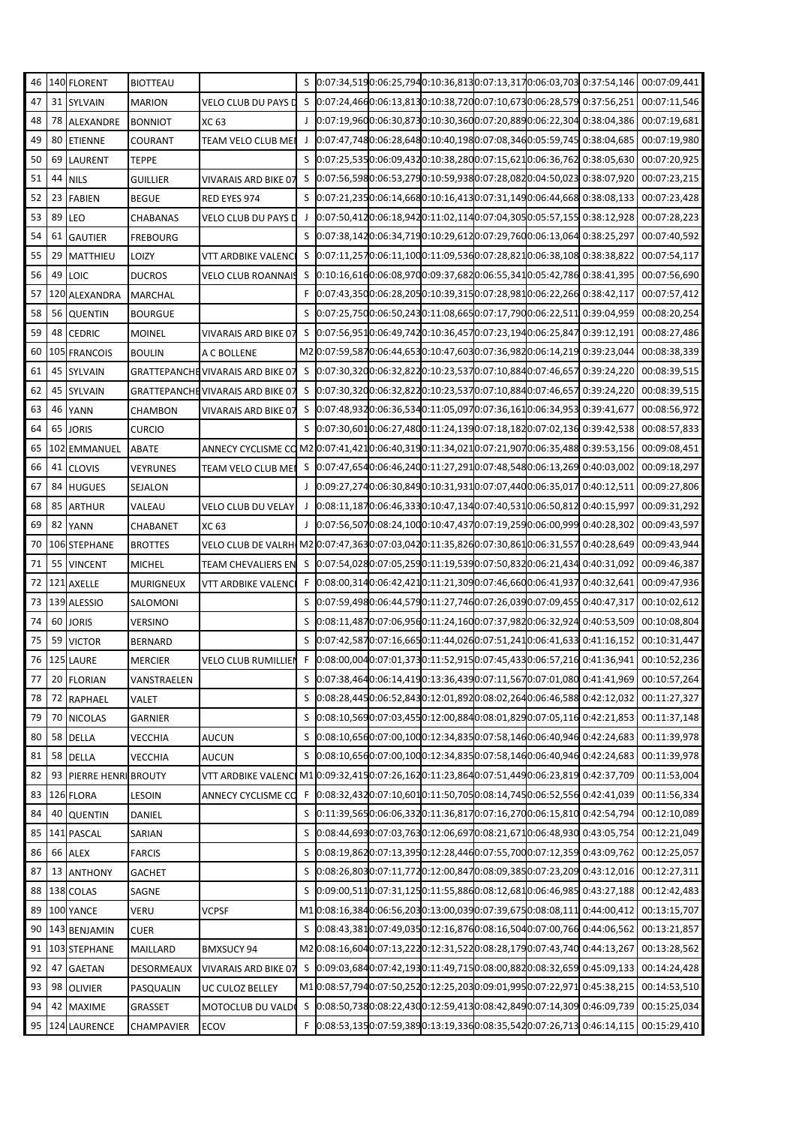| 46 |    | 140 FLORENT         | <b>BIOTTEAU</b> |                                                                                           | S |                                                           |  |  | 0:07:34,5190:06:25,7940:10:36,8130:07:13,3170:06:03,703 0:37:54,146        | 00:07:09,441                                                                       |
|----|----|---------------------|-----------------|-------------------------------------------------------------------------------------------|---|-----------------------------------------------------------|--|--|----------------------------------------------------------------------------|------------------------------------------------------------------------------------|
| 47 |    | 31 SYLVAIN          | <b>MARION</b>   | VELO CLUB DU PAYS D                                                                       |   |                                                           |  |  | S 0:07:24,4660:06:13,8130:10:38,7200:07:10,6730:06:28,579 0:37:56,251      | 00:07:11,546                                                                       |
| 48 | 78 | ALEXANDRE           | <b>BONNIOT</b>  | XC 63                                                                                     |   |                                                           |  |  | J 0:07:19,9600:06:30,8730:10:30,3600:07:20,8890:06:22,304 0:38:04,386      | 00:07:19,681                                                                       |
| 49 | 80 | <b>ETIENNE</b>      | COURANT         | TEAM VELO CLUB MEI                                                                        |   |                                                           |  |  | J 0:07:47,7480:06:28,6480:10:40,1980:07:08,3460:05:59,745 0:38:04,685      | 00:07:19,980                                                                       |
| 50 | 69 | <b>LAURENT</b>      | <b>TEPPE</b>    |                                                                                           |   |                                                           |  |  | S 0:07:25,5350:06:09,4320:10:38,2800:07:15,6210:06:36,762 0:38:05,630      | 00:07:20,925                                                                       |
| 51 | 44 | <b>NILS</b>         | GUILLIER        | VIVARAIS ARD BIKE 07                                                                      |   |                                                           |  |  | \$ 0:07:56,5980:06:53,2790:10:59,9380:07:28,0820:04:50,023 0:38:07,920     | 00:07:23,215                                                                       |
| 52 | 23 | <b>FABIEN</b>       | <b>BEGUE</b>    | RED EYES 974                                                                              |   |                                                           |  |  | S 0:07:21,2350:06:14,6680:10:16,4130:07:31,1490:06:44,668 0:38:08,133      | 00:07:23,428                                                                       |
| 53 | 89 | LEO                 | CHABANAS        | VELO CLUB DU PAYS D                                                                       |   |                                                           |  |  | 0:07:50,4120:06:18,9420:11:02,1140:07:04,3050:05:57,155 0:38:12,928        | 00:07:28,223                                                                       |
| 54 | 61 | <b>GAUTIER</b>      | <b>FREBOURG</b> |                                                                                           |   |                                                           |  |  | \$ 0:07:38,1420:06:34,7190:10:29,6120:07:29,7600:06:13,064 0:38:25,297     | 00:07:40,592                                                                       |
| 55 | 29 | <b>MATTHIEU</b>     | LOIZY           | VTT ARDBIKE VALENCI                                                                       |   |                                                           |  |  | \$ 0:07:11,2570:06:11,1000:11:09,5360:07:28,8210:06:38,108 0:38:38,822     | 00:07:54,117                                                                       |
| 56 | 49 | <b>LOIC</b>         | <b>DUCROS</b>   | VELO CLUB ROANNAIS                                                                        |   |                                                           |  |  | S 0:10:16,6160:06:08,9700:09:37,6820:06:55,3410:05:42,786 0:38:41,395      | 00:07:56,690                                                                       |
| 57 |    | 120 ALEXANDRA       | <b>MARCHAL</b>  |                                                                                           |   |                                                           |  |  | F 0:07:43,3500:06:28,2050:10:39,3150:07:28,9810:06:22,266 0:38:42,117      | 00:07:57,412                                                                       |
| 58 |    | 56 QUENTIN          | <b>BOURGUE</b>  |                                                                                           |   |                                                           |  |  | S 0:07:25,7500:06:50,2430:11:08,6650:07:17,7900:06:22,511 0:39:04,959      | 00:08:20,254                                                                       |
| 59 | 48 | <b>CEDRIC</b>       | <b>MOINEL</b>   | <b>VIVARAIS ARD BIKE 07</b>                                                               |   |                                                           |  |  | \$ 0:07:56,9510:06:49,7420:10:36,4570:07:23,1940:06:25,847 0:39:12,191     | 00:08:27,486                                                                       |
| 60 |    | 105 FRANCOIS        | <b>BOULIN</b>   | A C BOLLENE                                                                               |   |                                                           |  |  | M2 0:07:59,5870:06:44,6530:10:47,6030:07:36,9820:06:14,219 0:39:23,044     | 00:08:38,339                                                                       |
| 61 | 45 | <b>SYLVAIN</b>      |                 | GRATTEPANCHE VIVARAIS ARD BIKE 07                                                         |   |                                                           |  |  | \$ 0:07:30,3200:06:32,8220:10:23,5370:07:10,8840:07:46,657 0:39:24,220     | 00:08:39,515                                                                       |
| 62 |    | 45 SYLVAIN          |                 | GRATTEPANCHE VIVARAIS ARD BIKE 07                                                         |   |                                                           |  |  | \$ 0:07:30,3200:06:32,8220:10:23,5370:07:10,8840:07:46,657 0:39:24,220     | 00:08:39,515                                                                       |
| 63 | 46 | <b>YANN</b>         | CHAMBON         | <b>VIVARAIS ARD BIKE 07</b>                                                               |   |                                                           |  |  | \$ 0:07:48,9320:06:36,5340:11:05,0970:07:36,1610:06:34,953 0:39:41,677     | 00:08:56,972                                                                       |
| 64 | 65 | <b>JORIS</b>        | <b>CURCIO</b>   |                                                                                           |   |                                                           |  |  | S 0:07:30,6010:06:27,4800:11:24,1390:07:18,1820:07:02,136 0:39:42,538      | 00:08:57,833                                                                       |
| 65 |    | 102 EMMANUEL        | <b>ABATE</b>    | ANNECY CYCLISME CO M2 0:07:41,4210:06:40,3190:11:34,0210:07:21,9070:06:35,488 0:39:53,156 |   |                                                           |  |  |                                                                            | 00:09:08,451                                                                       |
| 66 | 41 | <b>CLOVIS</b>       | VEYRUNES        | TEAM VELO CLUB MEI                                                                        |   |                                                           |  |  | \$ 0:07:47,6540:06:46,2400:11:27,2910:07:48,5480:06:13,269 0:40:03,002     | 00:09:18,297                                                                       |
| 67 |    | 84 HUGUES           | SEJALON         |                                                                                           |   |                                                           |  |  | 0:09:27,2740:06:30,8490:10:31,9310:07:07,4400:06:35,017 0:40:12,511        | 00:09:27,806                                                                       |
| 68 | 85 | <b>ARTHUR</b>       | VALEAU          | VELO CLUB DU VELAY                                                                        | J |                                                           |  |  | 0:08:11,1870:06:46,3330:10:47,1340:07:40,5310:06:50,812 0:40:15,997        | 00:09:31,292                                                                       |
| 69 | 82 | <b>YANN</b>         | CHABANET        | XC 63                                                                                     |   |                                                           |  |  | 0:07:56,5070:08:24,1000:10:47,4370:07:19,2590:06:00,999 0:40:28,302        | 00:09:43,597                                                                       |
| 70 |    | 106 STEPHANE        | <b>BROTTES</b>  | VELO CLUB DE VALRH M2 0:07:47,3630:07:03,0420:11:35,8260:07:30,8610:06:31,557 0:40:28,649 |   |                                                           |  |  |                                                                            | 00:09:43,944                                                                       |
| 71 | 55 | <b>VINCENT</b>      | MICHEL          | <b>TEAM CHEVALIERS EN</b>                                                                 |   | S 0:07:54,0280:07:05,2590:11:19,5390:07:50,8320:06:21,434 |  |  | 0:40:31,092                                                                | 00:09:46,387                                                                       |
| 72 |    | 121 AXELLE          | MURIGNEUX       | <b>VTT ARDBIKE VALENCI</b>                                                                |   |                                                           |  |  | F 0:08:00,3140:06:42,4210:11:21,3090:07:46,6600:06:41,937 0:40:32,641      | 00:09:47,936                                                                       |
| 73 |    | 139 ALESSIO         | SALOMONI        |                                                                                           | S | 0:07:59,4980:06:44,5790:11:27,7460:07:26,0390:07:09,455   |  |  | 0:40:47,317                                                                | 00:10:02,612                                                                       |
| 74 |    | 60 JORIS            | VERSINO         |                                                                                           | S | 0:08:11,4870:07:06,9560:11:24,1600:07:37,9820:06:32,924   |  |  | 0:40:53,509                                                                | 00:10:08,804                                                                       |
| 75 | 59 | <b>VICTOR</b>       | <b>BERNARD</b>  |                                                                                           |   |                                                           |  |  |                                                                            | S 0:07:42,5870:07:16,6650:11:44,0260:07:51,2410:06:41,633 0:41:16,152 00:10:31,447 |
| 76 |    | 125 LAURE           | <b>MERCIER</b>  | <b>VELO CLUB RUMILLIEN</b>                                                                |   |                                                           |  |  | F 0:08:00,0040:07:01,3730:11:52,9150:07:45,4330:06:57,216 0:41:36,941      | 00:10:52,236                                                                       |
| 77 |    | 20 FLORIAN          | VANSTRAELEN     |                                                                                           |   |                                                           |  |  | S 0:07:38,4640:06:14,4190:13:36,4390:07:11,5670:07:01,080 0:41:41,969      | 00:10:57,264                                                                       |
| 78 | 72 | RAPHAEL             | VALET           |                                                                                           |   |                                                           |  |  | S 0:08:28,4450:06:52,8430:12:01,8920:08:02,2640:06:46,588 0:42:12,032      | 00:11:27,327                                                                       |
| 79 | 70 | <b>NICOLAS</b>      | <b>GARNIER</b>  |                                                                                           | S |                                                           |  |  | 0:08:10,5690:07:03,4550:12:00,8840:08:01,8290:07:05,116 0:42:21,853        | 00:11:37,148                                                                       |
| 80 | 58 | <b>DELLA</b>        | VECCHIA         | <b>AUCUN</b>                                                                              | S |                                                           |  |  | 0:08:10,6560:07:00,1000:12:34,8350:07:58,1460:06:40,946 0:42:24,683        | 00:11:39,978                                                                       |
| 81 | 58 | <b>DELLA</b>        | VECCHIA         | <b>AUCUN</b>                                                                              | S |                                                           |  |  | 0:08:10,6560:07:00,1000:12:34,8350:07:58,1460:06:40,946 0:42:24,683        | 00:11:39,978                                                                       |
| 82 | 93 | PIERRE HENRI BROUTY |                 | <b>VTT ARDBIKE VALENCI</b>                                                                |   |                                                           |  |  | M10:09:32,4150:07:26,1620:11:23,8640:07:51,4490:06:23,819 0:42:37,709      | 00:11:53,004                                                                       |
| 83 |    | 126 FLORA           | LESOIN          | ANNECY CYCLISME CO                                                                        |   |                                                           |  |  | F 0:08:32,4320:07:10,6010:11:50,7050:08:14,7450:06:52,556 0:42:41,039      | 00:11:56,334                                                                       |
| 84 | 40 | <b>QUENTIN</b>      | DANIEL          |                                                                                           | S | 0:11:39,5650:06:06,3320:11:36,8170:07:16,2700:06:15,810   |  |  | 0:42:54,794                                                                | 00:12:10,089                                                                       |
| 85 |    | 141 PASCAL          | SARIAN          |                                                                                           | S |                                                           |  |  | 0:08:44,6930:07:03,7630:12:06,6970:08:21,6710:06:48,930 0:43:05,754        | 00:12:21,049                                                                       |
| 86 | 66 | <b>ALEX</b>         | <b>FARCIS</b>   |                                                                                           | S |                                                           |  |  | 0:08:19,8620:07:13,3950:12:28,4460:07:55,7000:07:12,359 0:43:09,762        | 00:12:25,057                                                                       |
| 87 | 13 | <b>ANTHONY</b>      | <b>GACHET</b>   |                                                                                           | S |                                                           |  |  | 0:08:26,8030:07:11,7720:12:00,8470:08:09,3850:07:23,209 0:43:12,016        | 00:12:27,311                                                                       |
| 88 |    | 138 COLAS           | SAGNE           |                                                                                           | S | 0:09:00,5110:07:31,1250:11:55,8860:08:12,6810:06:46,985   |  |  | 0:43:27,188                                                                | 00:12:42,483                                                                       |
| 89 |    | 100 YANCE           | VERU            | <b>VCPSF</b>                                                                              |   |                                                           |  |  | M10:08:16,3840:06:56,2030:13:00,0390:07:39,6750:08:08,111 0:44:00,412      | 00:13:15,707                                                                       |
| 90 |    | 143 BENJAMIN        | <b>CUER</b>     |                                                                                           |   |                                                           |  |  | S 0:08:43,3810:07:49,0350:12:16,8760:08:16,5040:07:00,766 0:44:06,562      | 00:13:21,857                                                                       |
| 91 |    | 103 STEPHANE        | MAILLARD        | <b>BMXSUCY 94</b>                                                                         |   |                                                           |  |  | M2 0:08:16,604 0:07:13,222 0:12:31,522 0:08:28,179 0:07:43,740 0:44:13,267 | 00:13:28,562                                                                       |
| 92 | 47 | <b>GAETAN</b>       | DESORMEAUX      | <b>VIVARAIS ARD BIKE 07</b>                                                               |   |                                                           |  |  | \$ 0:09:03,6840:07:42,1930:11:49,7150:08:00,8820:08:32,659 0:45:09,133     | 00:14:24,428                                                                       |
| 93 | 98 | <b>OLIVIER</b>      | PASQUALIN       | UC CULOZ BELLEY                                                                           |   |                                                           |  |  | M1 0:08:57,7940:07:50,2520:12:25,2030:09:01,9950:07:22,971 0:45:38,215     | 00:14:53,510                                                                       |
| 94 | 42 | <b>MAXIME</b>       | GRASSET         | MOTOCLUB DU VALD                                                                          |   | S 0:08:50,7380:08:22,4300:12:59,4130:08:42,8490:07:14,309 |  |  | 0:46:09,739                                                                | 00:15:25,034                                                                       |
| 95 |    | 124 LAURENCE        | CHAMPAVIER      | ECOV                                                                                      |   |                                                           |  |  | F 0:08:53,1350:07:59,3890:13:19,3360:08:35,5420:07:26,713 0:46:14,115      | 00:15:29,410                                                                       |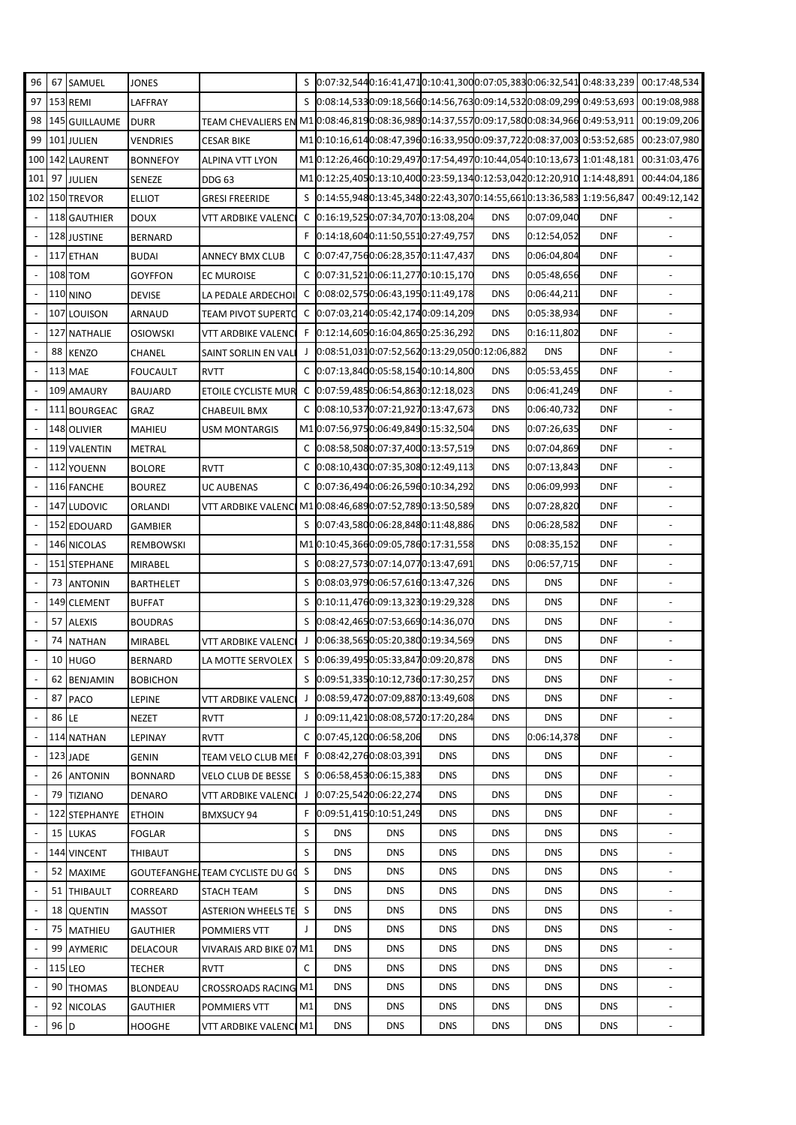| 96                       | 67             | SAMUEL              | JONES           |                                                                                                        |    |            |                                                |            |            |             | S 0:07:32,5440:16:41,4710:10:41,3000:07:05,3830:06:32,541 0:48:33,239      | 00:17:48,534                                                                        |
|--------------------------|----------------|---------------------|-----------------|--------------------------------------------------------------------------------------------------------|----|------------|------------------------------------------------|------------|------------|-------------|----------------------------------------------------------------------------|-------------------------------------------------------------------------------------|
| 97                       |                | 153 REMI            | LAFFRAY         |                                                                                                        |    |            |                                                |            |            |             |                                                                            | \$ 0:08:14,5330:09:18,5660:14:56,7630:09:14,5320:08:09,299 0:49:53,693 00:19:08,988 |
| 98                       |                | 145 GUILLAUME       | <b>DURR</b>     | TEAM CHEVALIERS EN M1 0:08:46,8190:08:36,9890:14:37,5570:09:17,5800:08:34,966 0:49:53,911 00:19:09,206 |    |            |                                                |            |            |             |                                                                            |                                                                                     |
| 99                       |                | 101 JULIEN          | VENDRIES        | <b>CESAR BIKE</b>                                                                                      |    |            |                                                |            |            |             | M10:10:16,6140:08:47,3960:16:33,9500:09:37,7220:08:37,003 0:53:52,685      | 00:23:07,980                                                                        |
|                          |                | 100 142 LAURENT     | <b>BONNEFOY</b> | <b>ALPINA VTT LYON</b>                                                                                 |    |            |                                                |            |            |             | M1 0:12:26,460 0:10:29,497 0:17:54,497 0:10:44,054 0:10:13,673 1:01:48,181 | 00:31:03,476                                                                        |
| 101                      |                | 97 JULIEN           | SENEZE          | <b>DDG 63</b>                                                                                          |    |            |                                                |            |            |             | M1 0:12:25,4050:13:10,4000:23:59,1340:12:53,0420:12:20,910 1:14:48,891     | 00:44:04,186                                                                        |
|                          |                | 102 150 TREVOR      | ELLIOT          | <b>GRESI FREERIDE</b>                                                                                  |    |            |                                                |            |            |             | S 0:14:55,9480:13:45,3480:22:43,3070:14:55,6610:13:36,583 1:19:56,847      | 00:49:12,142                                                                        |
| $\overline{\phantom{a}}$ |                | <b>118 GAUTHIER</b> | DOUX            | VTT ARDBIKE VALENCI                                                                                    |    |            | C 0:16:19,5250:07:34,7070:13:08,204            |            | <b>DNS</b> | 0:07:09,040 | <b>DNF</b>                                                                 |                                                                                     |
| $\overline{\phantom{a}}$ |                | 128 JUSTINE         | <b>BERNARD</b>  |                                                                                                        |    |            | F 0:14:18,6040:11:50,5510:27:49,757            |            | <b>DNS</b> | 0:12:54,052 | <b>DNF</b>                                                                 | $\Box$                                                                              |
| $\overline{\phantom{a}}$ |                | 117 ETHAN           | <b>BUDAI</b>    | <b>ANNECY BMX CLUB</b>                                                                                 |    |            | C 0:07:47,7560:06:28,3570:11:47,437            |            | <b>DNS</b> | 0:06:04,804 | <b>DNF</b>                                                                 |                                                                                     |
| $\overline{\phantom{a}}$ |                | <b>108 TOM</b>      | GOYFFON         | <b>EC MUROISE</b>                                                                                      |    |            | C 0:07:31,5210:06:11,2770:10:15,170            |            | <b>DNS</b> | 0:05:48,656 | <b>DNF</b>                                                                 |                                                                                     |
|                          |                | <b>110 NINO</b>     | <b>DEVISE</b>   | LA PEDALE ARDECHOI                                                                                     |    |            | C 0:08:02,5750:06:43,1950:11:49,178            |            | <b>DNS</b> | 0:06:44,211 | <b>DNF</b>                                                                 |                                                                                     |
| $\overline{\phantom{a}}$ |                | 107 LOUISON         | ARNAUD          | <b>TEAM PIVOT SUPERTO</b>                                                                              |    |            | C 0:07:03,2140:05:42,1740:09:14,209            |            | <b>DNS</b> | 0:05:38,934 | <b>DNF</b>                                                                 |                                                                                     |
| $\blacksquare$           |                | 127 NATHALIE        | osiowski        | <b>VTT ARDBIKE VALENCI</b>                                                                             |    |            | F 0:12:14,6050:16:04,8650:25:36,292            |            | <b>DNS</b> | 0:16:11,802 | <b>DNF</b>                                                                 | $\blacksquare$                                                                      |
| $\blacksquare$           | 88             | <b>KENZO</b>        | CHANEL          | SAINT SORLIN EN VALI                                                                                   |    |            | J 0:08:51,0310:07:52,5620:13:29,0500:12:06,882 |            |            | <b>DNS</b>  | <b>DNF</b>                                                                 |                                                                                     |
| $\blacksquare$           |                | <b>113 MAE</b>      | FOUCAULT        | <b>RVTT</b>                                                                                            |    |            | C 0:07:13,8400:05:58,1540:10:14,800            |            | <b>DNS</b> | 0:05:53,455 | <b>DNF</b>                                                                 |                                                                                     |
|                          |                | 109 AMAURY          | <b>BAUJARD</b>  | <b>ETOILE CYCLISTE MUR</b>                                                                             |    |            | C 0:07:59,4850:06:54,8630:12:18,023            |            | <b>DNS</b> | 0:06:41,249 | <b>DNF</b>                                                                 | $\blacksquare$                                                                      |
| $\overline{\phantom{a}}$ |                | 111 BOURGEAC        | GRAZ            | <b>CHABEUIL BMX</b>                                                                                    |    |            | C 0:08:10,5370:07:21,9270:13:47,673            |            | <b>DNS</b> | 0:06:40,732 | <b>DNF</b>                                                                 |                                                                                     |
| $\blacksquare$           |                | 148 OLIVIER         | MAHIEU          | <b>USM MONTARGIS</b>                                                                                   |    |            | M1 0:07:56,9750:06:49,8490:15:32,504           |            | <b>DNS</b> | 0:07:26,635 | <b>DNF</b>                                                                 | $\blacksquare$                                                                      |
| $\overline{\phantom{a}}$ |                | 119 VALENTIN        | METRAL          |                                                                                                        |    |            | C 0:08:58,5080:07:37,4000:13:57,519            |            | <b>DNS</b> | 0:07:04,869 | <b>DNF</b>                                                                 |                                                                                     |
| $\overline{\phantom{a}}$ |                | 112 YOUENN          | <b>BOLORE</b>   | <b>RVTT</b>                                                                                            |    |            | C 0:08:10,4300:07:35,3080:12:49,113            |            | <b>DNS</b> | 0:07:13,843 | <b>DNF</b>                                                                 |                                                                                     |
|                          |                | 116 FANCHE          | <b>BOUREZ</b>   | <b>UC AUBENAS</b>                                                                                      |    |            | C 0:07:36,4940:06:26,5960:10:34,292            |            | <b>DNS</b> | 0:06:09,993 | <b>DNF</b>                                                                 |                                                                                     |
| $\overline{\phantom{a}}$ |                | 147 LUDOVIC         | ORLANDI         | VTT ARDBIKE VALENCI                                                                                    |    |            | M1 0:08:46,6890:07:52,7890:13:50,589           |            | <b>DNS</b> | 0:07:28,820 | <b>DNF</b>                                                                 |                                                                                     |
| $\Box$                   |                | 152 EDOUARD         | GAMBIER         |                                                                                                        |    |            | S 0:07:43,5800:06:28,8480:11:48,886            |            | <b>DNS</b> | 0:06:28,582 | <b>DNF</b>                                                                 | $\blacksquare$                                                                      |
| $\overline{\phantom{a}}$ |                | <b>146 NICOLAS</b>  | REMBOWSKI       |                                                                                                        |    |            | M10:10:45,3660:09:05,7860:17:31,558            |            | <b>DNS</b> | 0:08:35,152 | <b>DNF</b>                                                                 |                                                                                     |
| $\overline{\phantom{a}}$ |                | 151 STEPHANE        | MIRABEL         |                                                                                                        |    |            | S 0:08:27,5730:07:14,0770:13:47,691            |            | <b>DNS</b> | 0:06:57,715 | <b>DNF</b>                                                                 | $\blacksquare$                                                                      |
|                          |                | 73 ANTONIN          | BARTHELET       |                                                                                                        |    |            | S 0:08:03,9790:06:57,6160:13:47,326            |            | <b>DNS</b> | <b>DNS</b>  | <b>DNF</b>                                                                 |                                                                                     |
| $\blacksquare$           |                | 149 CLEMENT         | BUFFAT          |                                                                                                        |    |            | S 0:10:11,4760:09:13,3230:19:29,328            |            | <b>DNS</b> | <b>DNS</b>  | <b>DNF</b>                                                                 | ÷,                                                                                  |
| $\overline{\phantom{a}}$ | 57             | <b>ALEXIS</b>       | BOUDRAS         |                                                                                                        |    |            | S 0:08:42,4650:07:53,6690:14:36,070            |            | <b>DNS</b> | <b>DNS</b>  | <b>DNF</b>                                                                 | $\blacksquare$                                                                      |
|                          | 74             | <b>NATHAN</b>       | MIRABEL         | VTT ARDBIKE VALENCI                                                                                    |    |            | 0:06:38,5650:05:20,3800:19:34,569              |            | <b>DNS</b> | <b>DNS</b>  | <b>DNF</b>                                                                 |                                                                                     |
|                          | 10             | <b>HUGO</b>         | BERNARD         | LA MOTTE SERVOLEX                                                                                      |    |            | S 0:06:39,4950:05:33,8470:09:20,878            |            | <b>DNS</b> | <b>DNS</b>  | <b>DNF</b>                                                                 |                                                                                     |
|                          |                | 62 BENJAMIN         | <b>BOBICHON</b> |                                                                                                        |    |            | S 0:09:51,3350:10:12,7360:17:30,257            |            | <b>DNS</b> | <b>DNS</b>  | <b>DNF</b>                                                                 |                                                                                     |
| $\overline{\phantom{a}}$ | 87             | <b>PACO</b>         | LEPINE          | VTT ARDBIKE VALENCI                                                                                    | J  |            | 0:08:59,4720:07:09,8870:13:49,608              |            | <b>DNS</b> | <b>DNS</b>  | <b>DNF</b>                                                                 |                                                                                     |
| $\overline{\phantom{a}}$ | 86             | LE                  | <b>NEZET</b>    | <b>RVTT</b>                                                                                            | J. |            | 0:09:11,4210:08:08,5720:17:20,284              |            | <b>DNS</b> | <b>DNS</b>  | <b>DNF</b>                                                                 | $\blacksquare$                                                                      |
| $\overline{\phantom{a}}$ |                | 114 NATHAN          | LEPINAY         | <b>RVTT</b>                                                                                            |    |            | C 0:07:45,1200:06:58,206                       | <b>DNS</b> | <b>DNS</b> | 0:06:14,378 | <b>DNF</b>                                                                 |                                                                                     |
| $\overline{\phantom{a}}$ |                | 123 JADE            | GENIN           | TEAM VELO CLUB MEI                                                                                     |    |            | F 0:08:42,2760:08:03,391                       | <b>DNS</b> | <b>DNS</b> | <b>DNS</b>  | <b>DNF</b>                                                                 | $\blacksquare$                                                                      |
|                          |                | 26 ANTONIN          | <b>BONNARD</b>  | <b>VELO CLUB DE BESSE</b>                                                                              |    |            | S 0:06:58,4530:06:15,383                       | <b>DNS</b> | <b>DNS</b> | <b>DNS</b>  | <b>DNF</b>                                                                 |                                                                                     |
| $\blacksquare$           | 79             | <b>TIZIANO</b>      | DENARO          | VTT ARDBIKE VALENCI                                                                                    | J  |            | 0:07:25,5420:06:22,274                         | <b>DNS</b> | <b>DNS</b> | <b>DNS</b>  | <b>DNF</b>                                                                 |                                                                                     |
| $\overline{\phantom{a}}$ |                | 122 STEPHANYE       | <b>ETHOIN</b>   | <b>BMXSUCY 94</b>                                                                                      |    |            | F 0:09:51,4150:10:51,249                       | <b>DNS</b> | <b>DNS</b> | <b>DNS</b>  | <b>DNF</b>                                                                 | $\blacksquare$                                                                      |
| $\overline{\phantom{a}}$ | 15             | <b>LUKAS</b>        | FOGLAR          |                                                                                                        | S  | <b>DNS</b> | <b>DNS</b>                                     | <b>DNS</b> | <b>DNS</b> | <b>DNS</b>  | <b>DNS</b>                                                                 |                                                                                     |
| $\overline{\phantom{a}}$ |                | 144 VINCENT         | THIBAUT         |                                                                                                        | S  | <b>DNS</b> | <b>DNS</b>                                     | <b>DNS</b> | <b>DNS</b> | <b>DNS</b>  | <b>DNS</b>                                                                 | $\overline{\phantom{a}}$                                                            |
| $\overline{\phantom{a}}$ | 52             | <b>MAXIME</b>       |                 | GOUTEFANGHE. TEAM CYCLISTE DU GO                                                                       | S  | <b>DNS</b> | <b>DNS</b>                                     | <b>DNS</b> | <b>DNS</b> | <b>DNS</b>  | <b>DNS</b>                                                                 |                                                                                     |
|                          | 51             | <b>THIBAULT</b>     | CORREARD        | STACH TEAM                                                                                             | S  | <b>DNS</b> | <b>DNS</b>                                     | <b>DNS</b> | <b>DNS</b> | <b>DNS</b>  | <b>DNS</b>                                                                 |                                                                                     |
| $\overline{\phantom{a}}$ | 18             | <b>QUENTIN</b>      | MASSOT          | <b>ASTERION WHEELS TE</b>                                                                              | S  | <b>DNS</b> | <b>DNS</b>                                     | <b>DNS</b> | <b>DNS</b> | <b>DNS</b>  | <b>DNS</b>                                                                 | $\blacksquare$                                                                      |
| $\overline{\phantom{a}}$ | 75             | MATHIEU             | GAUTHIER        | POMMIERS VTT                                                                                           | J  | <b>DNS</b> | <b>DNS</b>                                     | <b>DNS</b> | <b>DNS</b> | <b>DNS</b>  | <b>DNS</b>                                                                 |                                                                                     |
| $\overline{\phantom{a}}$ | 99             | <b>AYMERIC</b>      | DELACOUR        | VIVARAIS ARD BIKE 07 M1                                                                                |    | <b>DNS</b> | <b>DNS</b>                                     | <b>DNS</b> | <b>DNS</b> | <b>DNS</b>  | <b>DNS</b>                                                                 | $\qquad \qquad \blacksquare$                                                        |
| $\blacksquare$           | <b>115 LEO</b> |                     | TECHER          | <b>RVTT</b>                                                                                            | C  | <b>DNS</b> | <b>DNS</b>                                     | <b>DNS</b> | <b>DNS</b> | <b>DNS</b>  | <b>DNS</b>                                                                 |                                                                                     |
| $\blacksquare$           | 90             | <b>THOMAS</b>       | BLONDEAU        | <b>CROSSROADS RACING M1</b>                                                                            |    | <b>DNS</b> | <b>DNS</b>                                     | <b>DNS</b> | <b>DNS</b> | <b>DNS</b>  | <b>DNS</b>                                                                 |                                                                                     |
|                          | 92             | <b>NICOLAS</b>      | GAUTHIER        | POMMIERS VTT                                                                                           | M1 | <b>DNS</b> | <b>DNS</b>                                     | <b>DNS</b> | <b>DNS</b> | <b>DNS</b>  | <b>DNS</b>                                                                 | $\blacksquare$                                                                      |
|                          | 96 D           |                     | HOOGHE          | VTT ARDBIKE VALENCI M1                                                                                 |    | <b>DNS</b> | <b>DNS</b>                                     | <b>DNS</b> | <b>DNS</b> | <b>DNS</b>  | <b>DNS</b>                                                                 | $\overline{\phantom{a}}$                                                            |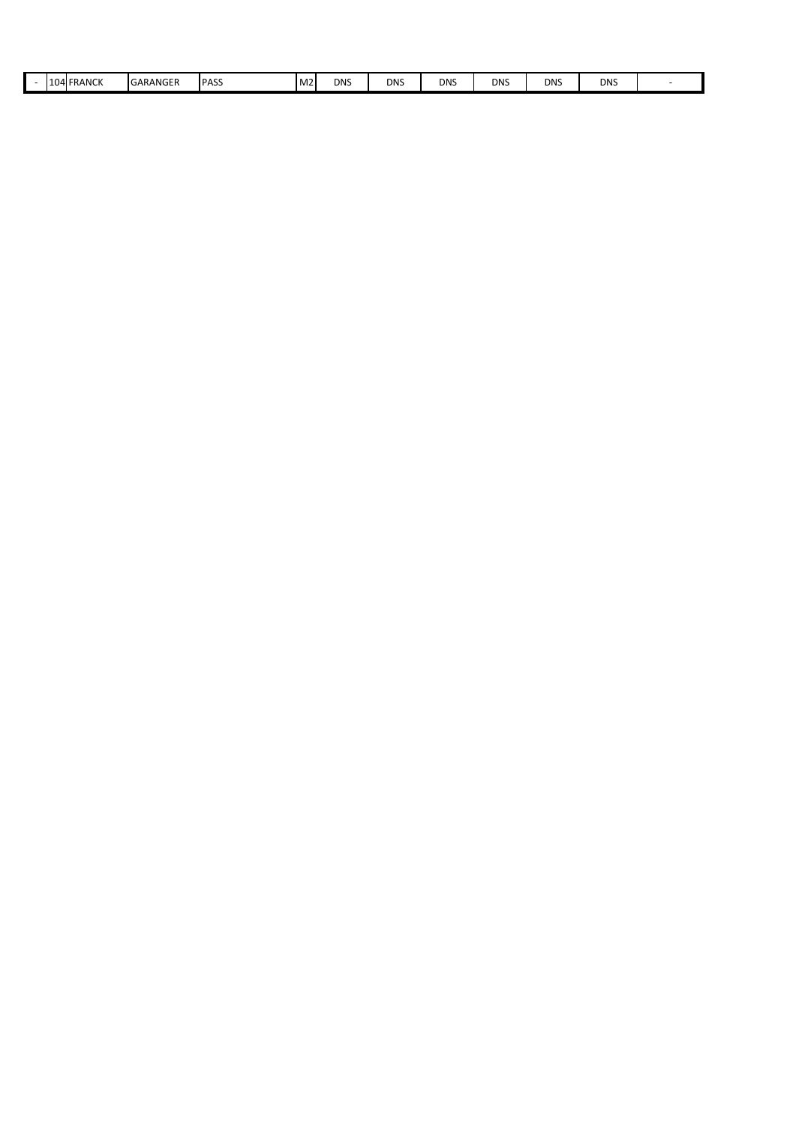|  |  |  | <b>LO4 FRANCK</b><br>__ | GARANGER | <b>IPASS</b><br>__ | M <sub>2</sub> | <b>DNS</b><br>$\sim$ | <b>DNS</b><br>$\sim$ | dns | DNS<br>$\sim$ | <b>DNS</b><br>$\sim$ | <b>DNS</b> |  |
|--|--|--|-------------------------|----------|--------------------|----------------|----------------------|----------------------|-----|---------------|----------------------|------------|--|
|--|--|--|-------------------------|----------|--------------------|----------------|----------------------|----------------------|-----|---------------|----------------------|------------|--|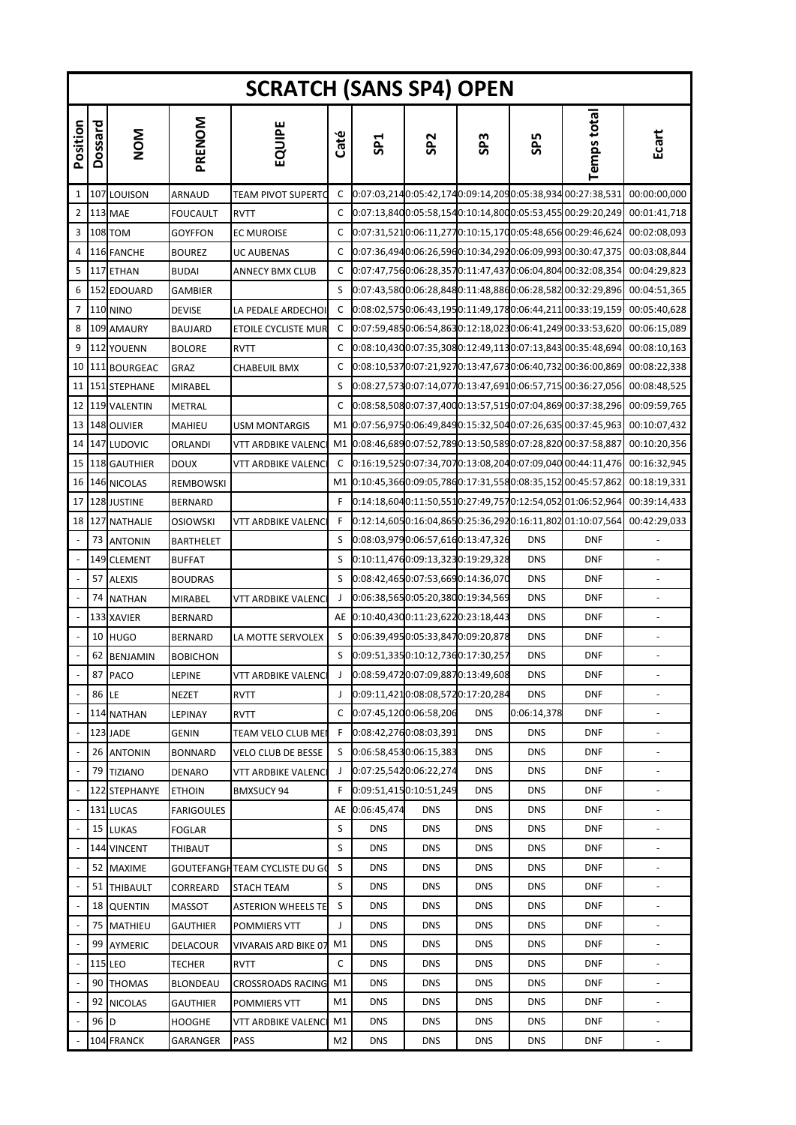|                          |         |                    |                   | <b>SCRATCH (SANS SP4) OPEN</b> |                |                 |                        |                                   |                 |                                                           |                              |
|--------------------------|---------|--------------------|-------------------|--------------------------------|----------------|-----------------|------------------------|-----------------------------------|-----------------|-----------------------------------------------------------|------------------------------|
| Position                 | Dossard | NOM                | PRENOM            | EQUIPE                         | Caté           | SP <sub>1</sub> | SP <sub>2</sub>        | SP <sub>3</sub>                   | SP <sub>5</sub> | <b>Temps total</b>                                        | Ecart                        |
| 1                        |         | 107 LOUISON        | ARNAUD            | TEAM PIVOT SUPERTC             | C              |                 |                        |                                   |                 | 0:07:03,2140:05:42,1740:09:14,2090:05:38,934 00:27:38,531 | 00:00:00,000                 |
| 2                        |         | <b>113 MAE</b>     | <b>FOUCAULT</b>   | RVTT                           | C              |                 |                        |                                   |                 | 0:07:13,8400:05:58,1540:10:14,8000:05:53,455 00:29:20,249 | 00:01:41,718                 |
| 3                        |         | <b>108 TOM</b>     | <b>GOYFFON</b>    | EC MUROISE                     | C              |                 |                        |                                   |                 | 0:07:31,5210:06:11,2770:10:15,1700:05:48,656 00:29:46,624 | 00:02:08,093                 |
| 4                        |         | 116 FANCHE         | <b>BOUREZ</b>     | UC AUBENAS                     | C              |                 |                        |                                   |                 | 0:07:36,4940:06:26,5960:10:34,2920:06:09,993 00:30:47,375 | 00:03:08,844                 |
| 5                        |         | 117 ETHAN          | <b>BUDAI</b>      | ANNECY BMX CLUB                | C              |                 |                        |                                   |                 | 0:07:47,7560:06:28,3570:11:47,4370:06:04,804 00:32:08,354 | 00:04:29,823                 |
| 6                        |         | 152 EDOUARD        | GAMBIER           |                                | S              |                 |                        |                                   |                 | 0:07:43,5800:06:28,8480:11:48,8860:06:28,582 00:32:29,896 | 00:04:51,365                 |
| 7                        |         | <b>110 NINO</b>    | <b>DEVISE</b>     | LA PEDALE ARDECHOI             | C              |                 |                        |                                   |                 | 0:08:02,5750:06:43,1950:11:49,1780:06:44,211 00:33:19,159 | 00:05:40,628                 |
| 8                        |         | 109 AMAURY         | <b>BAUJARD</b>    | ETOILE CYCLISTE MUR            | C              |                 |                        |                                   |                 | 0:07:59,4850:06:54,8630:12:18,0230:06:41,249 00:33:53,620 | 00:06:15,089                 |
| 9                        |         | 112 YOUENN         | <b>BOLORE</b>     | RVTT                           | C              |                 |                        |                                   |                 | 0:08:10,4300:07:35,3080:12:49,1130:07:13,843 00:35:48,694 | 00:08:10,163                 |
| 10                       |         | 111 BOURGEAC       | GRAZ              | CHABEUIL BMX                   | C              |                 |                        |                                   |                 | 0:08:10,5370:07:21,9270:13:47,6730:06:40,732 00:36:00,869 | 00:08:22,338                 |
| 11                       |         | 151 STEPHANE       | <b>MIRABEL</b>    |                                | S              |                 |                        |                                   |                 | 0:08:27,5730:07:14,0770:13:47,6910:06:57,715 00:36:27,056 | 00:08:48,525                 |
| 12                       |         | 119 VALENTIN       | METRAL            |                                | C              |                 |                        |                                   |                 | 0:08:58,5080:07:37,4000:13:57,5190:07:04,869 00:37:38,296 | 00:09:59,765                 |
| 13                       |         | 148 OLIVIER        | <b>MAHIEU</b>     | <b>USM MONTARGIS</b>           | M1             |                 |                        |                                   |                 | 0:07:56,9750:06:49,8490:15:32,5040:07:26,635 00:37:45,963 | 00:10:07,432                 |
| 14                       |         | 147 LUDOVIC        | ORLANDI           | VTT ARDBIKE VALENC             | M1             |                 |                        |                                   |                 | 0:08:46,6890:07:52,7890:13:50,5890:07:28,820 00:37:58,887 | 00:10:20,356                 |
| 15                       |         | 118 GAUTHIER       | <b>DOUX</b>       | VTT ARDBIKE VALENC             | C              |                 |                        |                                   |                 | 0:16:19,5250:07:34,7070:13:08,2040:07:09,040 00:44:11,476 | 00:16:32,945                 |
| 16 <sub>1</sub>          |         | <b>146 NICOLAS</b> | REMBOWSKI         |                                | M1             |                 |                        |                                   |                 | 0:10:45,3660:09:05,7860:17:31,5580:08:35,152 00:45:57,862 | 00:18:19,331                 |
| 17                       |         | 128 JUSTINE        | <b>BERNARD</b>    |                                | F              |                 |                        |                                   |                 | 0:14:18,6040:11:50,5510:27:49,7570:12:54,052 01:06:52,964 | 00:39:14,433                 |
| 18                       |         | 127 NATHALIE       | <b>OSIOWSKI</b>   | VTT ARDBIKE VALENC             | F              |                 |                        |                                   |                 | 0:12:14,6050:16:04,8650:25:36,2920:16:11,802 01:10:07,564 | 00:42:29,033                 |
| $\overline{\phantom{a}}$ |         | 73 ANTONIN         | <b>BARTHELET</b>  |                                | S              |                 |                        | 0:08:03,9790:06:57,6160:13:47,326 | <b>DNS</b>      | <b>DNF</b>                                                | $\overline{\phantom{a}}$     |
|                          |         | 149 CLEMENT        | <b>BUFFAT</b>     |                                | S              |                 |                        | 0:10:11,4760:09:13,3230:19:29,328 | <b>DNS</b>      | DNF                                                       |                              |
|                          | 57      | <b>ALEXIS</b>      | <b>BOUDRAS</b>    |                                | S              |                 |                        | 0:08:42,4650:07:53,6690:14:36,070 | <b>DNS</b>      | DNF                                                       |                              |
|                          |         | 74 NATHAN          | <b>MIRABEL</b>    | VTT ARDBIKE VALENC             | J              |                 |                        | 0:06:38,5650:05:20,3800:19:34,569 | <b>DNS</b>      | <b>DNF</b>                                                |                              |
|                          |         | 133 XAVIER         | <b>BERNARD</b>    |                                | AE             |                 |                        | 0:10:40,4300:11:23,6220:23:18,443 | <b>DNS</b>      | DNF                                                       |                              |
|                          | 10      | <b>HUGO</b>        | <b>BERNARD</b>    | LA MOTTE SERVOLEX              | S              |                 |                        | 0:06:39,4950:05:33,8470:09:20,878 | <b>DNS</b>      | <b>DNF</b>                                                | $\overline{\phantom{a}}$     |
|                          |         | 62 BENJAMIN        | <b>BOBICHON</b>   |                                | S              |                 |                        | 0:09:51,3350:10:12,7360:17:30,257 | <b>DNS</b>      | <b>DNF</b>                                                |                              |
|                          |         | 87 PACO            | LEPINE            | VTT ARDBIKE VALENCI            | J              |                 |                        | 0:08:59,4720:07:09,8870:13:49,608 | <b>DNS</b>      | <b>DNF</b>                                                |                              |
| $\omega$                 | 86 LE   |                    | <b>NEZET</b>      | RVTT                           | $\perp$        |                 |                        | 0:09:11,4210:08:08,5720:17:20,284 | <b>DNS</b>      | <b>DNF</b>                                                |                              |
|                          |         | 114 NATHAN         | LEPINAY           | RVTT                           | C              |                 | 0:07:45,1200:06:58,206 | <b>DNS</b>                        | 0:06:14,378     | <b>DNF</b>                                                |                              |
| $\overline{\phantom{a}}$ |         | 123 JADE           | <b>GENIN</b>      | TEAM VELO CLUB MEI             | F              |                 | 0:08:42,2760:08:03,391 | <b>DNS</b>                        | <b>DNS</b>      | <b>DNF</b>                                                | $\qquad \qquad \blacksquare$ |
|                          |         | 26 ANTONIN         | <b>BONNARD</b>    | VELO CLUB DE BESSE             | S              |                 | 0:06:58,4530:06:15,383 | <b>DNS</b>                        | <b>DNS</b>      | <b>DNF</b>                                                |                              |
|                          | 79      | <b>TIZIANO</b>     | <b>DENARO</b>     | VTT ARDBIKE VALENC             | J              |                 | 0:07:25,5420:06:22,274 | <b>DNS</b>                        | <b>DNS</b>      | <b>DNF</b>                                                | $\overline{\phantom{a}}$     |
|                          |         | 122 STEPHANYE      | <b>ETHOIN</b>     | BMXSUCY 94                     | F              |                 | 0:09:51,4150:10:51,249 | <b>DNS</b>                        | <b>DNS</b>      | <b>DNF</b>                                                |                              |
|                          |         | 131 LUCAS          | <b>FARIGOULES</b> |                                |                | AE 0:06:45,474  | <b>DNS</b>             | <b>DNS</b>                        | <b>DNS</b>      | <b>DNF</b>                                                |                              |
| $\overline{\phantom{a}}$ | 15      | <b>LUKAS</b>       | <b>FOGLAR</b>     |                                | S              | <b>DNS</b>      | <b>DNS</b>             | <b>DNS</b>                        | <b>DNS</b>      | DNF                                                       | $\overline{\phantom{a}}$     |
|                          |         | 144 VINCENT        | THIBAUT           |                                | S              | <b>DNS</b>      | <b>DNS</b>             | <b>DNS</b>                        | <b>DNS</b>      | <b>DNF</b>                                                |                              |
|                          | 52      | <b>MAXIME</b>      |                   | GOUTEFANGH TEAM CYCLISTE DU GO | S              | DNS             | <b>DNS</b>             | <b>DNS</b>                        | <b>DNS</b>      | <b>DNF</b>                                                | $\blacksquare$               |
|                          | 51      | <b>THIBAULT</b>    | CORREARD          | STACH TEAM                     | S              | <b>DNS</b>      | <b>DNS</b>             | <b>DNS</b>                        | <b>DNS</b>      | <b>DNF</b>                                                |                              |
|                          | 18      | <b>QUENTIN</b>     | <b>MASSOT</b>     | ASTERION WHEELS TE             | S              | <b>DNS</b>      | <b>DNS</b>             | <b>DNS</b>                        | <b>DNS</b>      | <b>DNF</b>                                                |                              |
| $\overline{\phantom{a}}$ | 75      | <b>MATHIEU</b>     | <b>GAUTHIER</b>   | POMMIERS VTT                   | J              | <b>DNS</b>      | <b>DNS</b>             | <b>DNS</b>                        | <b>DNS</b>      | DNF                                                       | $\blacksquare$               |
|                          | 99      | AYMERIC            | DELACOUR          | VIVARAIS ARD BIKE 07           | M1             | <b>DNS</b>      | <b>DNS</b>             | <b>DNS</b>                        | <b>DNS</b>      | <b>DNF</b>                                                |                              |
|                          |         | <b>115 LEO</b>     | <b>TECHER</b>     | RVTT                           | C              | <b>DNS</b>      | <b>DNS</b>             | <b>DNS</b>                        | <b>DNS</b>      | <b>DNF</b>                                                | $\overline{\phantom{a}}$     |
|                          | 90      | <b>THOMAS</b>      | BLONDEAU          | CROSSROADS RACING              | M1             | <b>DNS</b>      | <b>DNS</b>             | <b>DNS</b>                        | <b>DNS</b>      | <b>DNF</b>                                                | ÷,                           |
|                          | 92      | <b>NICOLAS</b>     | <b>GAUTHIER</b>   | POMMIERS VTT                   | M1             | <b>DNS</b>      | <b>DNS</b>             | <b>DNS</b>                        | <b>DNS</b>      | <b>DNF</b>                                                |                              |
| $\overline{\phantom{a}}$ | 96 D    |                    | <b>HOOGHE</b>     | VTT ARDBIKE VALENCI            | M1             | <b>DNS</b>      | <b>DNS</b>             | <b>DNS</b>                        | <b>DNS</b>      | <b>DNF</b>                                                | $\overline{\phantom{a}}$     |
|                          |         | 104 FRANCK         | GARANGER          | PASS                           | M <sub>2</sub> | <b>DNS</b>      | <b>DNS</b>             | <b>DNS</b>                        | <b>DNS</b>      | <b>DNF</b>                                                |                              |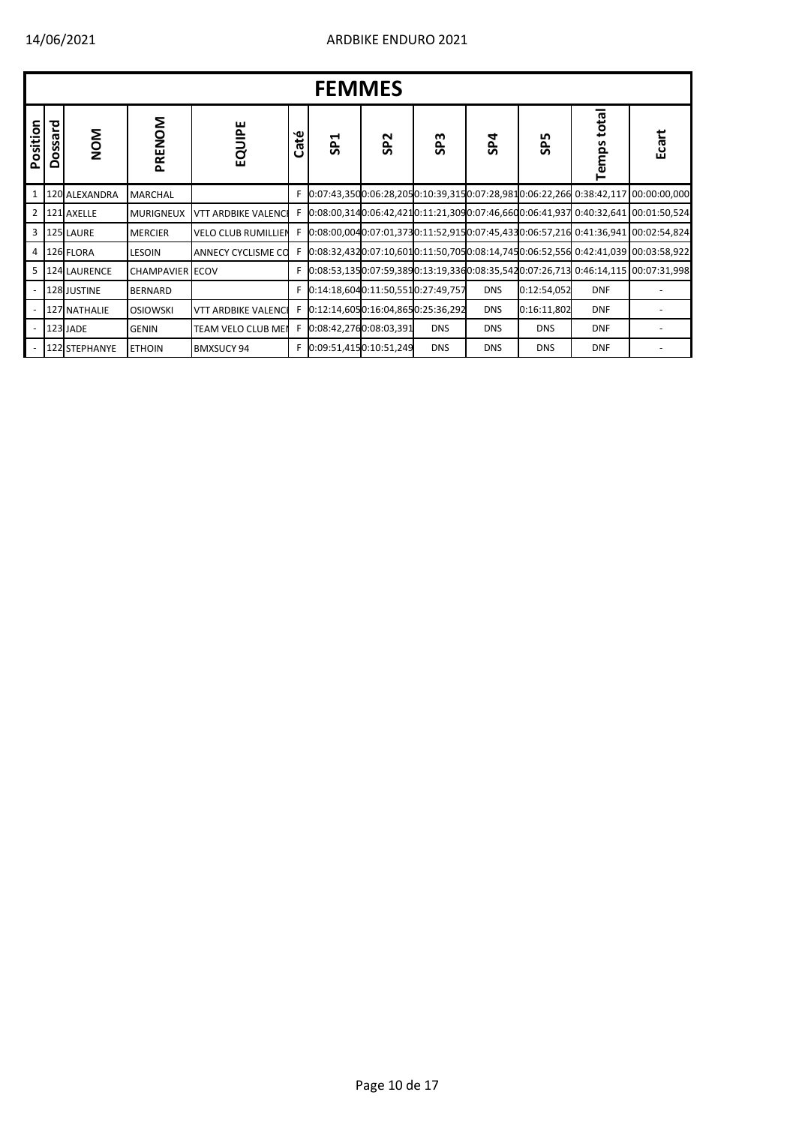|                |         |                     |                        |                            |      | <b>FEMMES</b>                     |                 |                 |                |             |                             |                                                                                   |
|----------------|---------|---------------------|------------------------|----------------------------|------|-----------------------------------|-----------------|-----------------|----------------|-------------|-----------------------------|-----------------------------------------------------------------------------------|
| Position       | Dossard | NOM                 | PRENOM                 | EQUIPE                     | Caté | SP <sub>1</sub>                   | SP <sub>2</sub> | SP <sub>3</sub> | S <sub>P</sub> | <b>SP5</b>  | total<br>Temps <sup>-</sup> | Ecart                                                                             |
| $\mathbf{1}$   |         | 120 ALEXANDRA       | <b>MARCHAL</b>         |                            |      |                                   |                 |                 |                |             |                             | 0:07:43,3500:06:28,2050:10:39,3150:07:28,9810:06:22,266 0:38:42,117 00:00:00,000  |
| $\overline{2}$ |         | 121 AXELLE          | <b>MURIGNEUX</b>       | <b>VTT ARDBIKE VALENCI</b> |      |                                   |                 |                 |                |             |                             | $0.08:00,3140:06:42,4210:11:21,3090:07:46,6600:06:41,9370:40:32,641100:01:50,524$ |
| 3              |         | 125 LAURE           | <b>MERCIER</b>         | <b>VELO CLUB RUMILLIEN</b> |      |                                   |                 |                 |                |             |                             | 0:08:00,0040:07:01,3730:11:52,9150:07:45,4330:06:57,216 0:41:36,941 00:02:54,824  |
| 4              |         | 126 FLORA           | <b>LESOIN</b>          | ANNECY CYCLISME CO         |      |                                   |                 |                 |                |             |                             | $0.08.32,4320.07.10,6010.11.50,7050.08.14,7450.06.52,5560.42.41,039100.03.58,922$ |
| 5              |         | <b>124 LAURENCE</b> | <b>CHAMPAVIER ECOV</b> |                            |      |                                   |                 |                 |                |             |                             | $0.08:53.1350:07:59.3890:13:19.3360:08:35.5420:07:26.71300:46:14.11500:07:31.998$ |
|                |         | 128 JUSTINE         | <b>BERNARD</b>         |                            |      | 0:14:18,6040:11:50,5510:27:49,757 |                 |                 | <b>DNS</b>     | 0:12:54,052 | <b>DNF</b>                  |                                                                                   |
|                |         | 127 NATHALIE        | <b>OSIOWSKI</b>        | <b>VTT ARDBIKE VALENCI</b> |      | 0:12:14,6050:16:04,8650:25:36,292 |                 |                 | <b>DNS</b>     | 0:16:11,802 | <b>DNF</b>                  |                                                                                   |
|                |         | 123 JADE            | <b>GENIN</b>           | TEAM VELO CLUB MEI         |      | 0:08:42,2760:08:03,391            |                 | <b>DNS</b>      | <b>DNS</b>     | <b>DNS</b>  | <b>DNF</b>                  |                                                                                   |
|                |         | 122 STEPHANYE       | <b>ETHOIN</b>          | <b>BMXSUCY 94</b>          |      | 0:09:51,4150:10:51,249            |                 | <b>DNS</b>      | <b>DNS</b>     | <b>DNS</b>  | <b>DNF</b>                  |                                                                                   |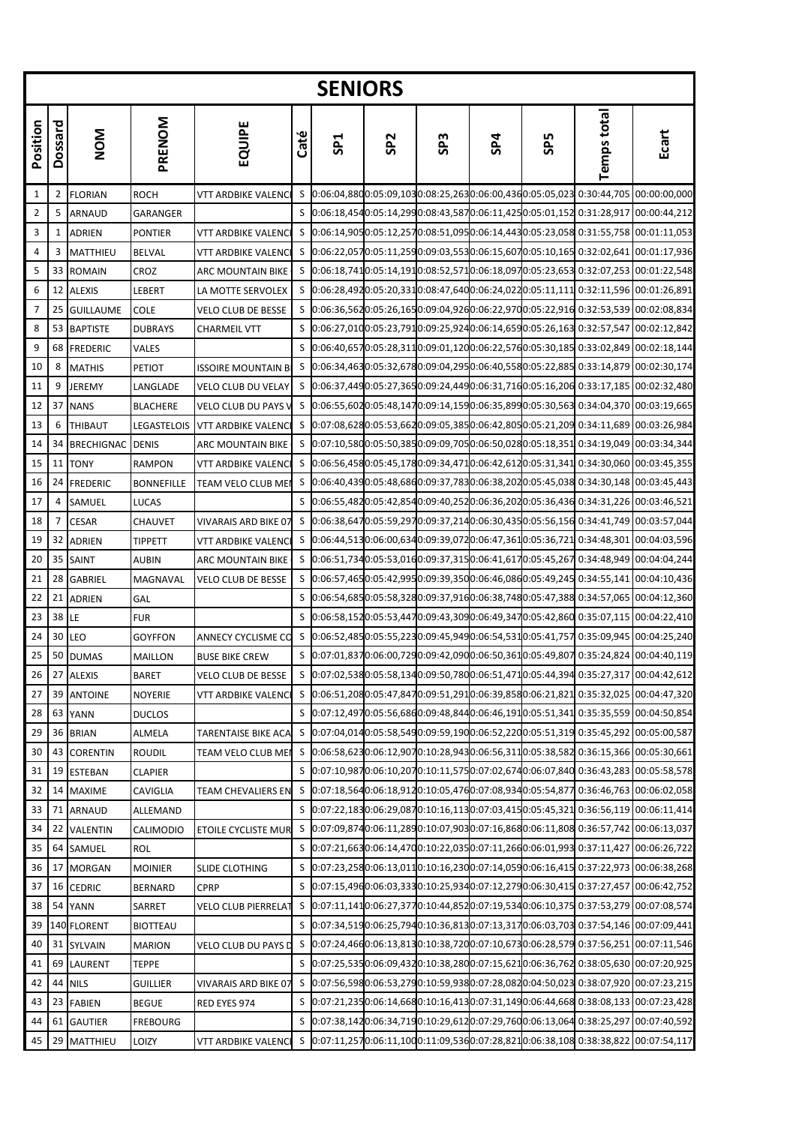|              |         |                   |                   |                             |      | <b>SENIORS</b>  |                 |                 |                                                         |            |                                                                                                                                                                                                                                |                                                                                                |
|--------------|---------|-------------------|-------------------|-----------------------------|------|-----------------|-----------------|-----------------|---------------------------------------------------------|------------|--------------------------------------------------------------------------------------------------------------------------------------------------------------------------------------------------------------------------------|------------------------------------------------------------------------------------------------|
| Position     | Dossard | <b>NOM</b>        | PRENOM            | EQUIPE                      | Caté | SP <sub>1</sub> | SP <sub>2</sub> | SP <sub>3</sub> | SP4                                                     | <b>SP5</b> | <b>Temps total</b>                                                                                                                                                                                                             | Ecart                                                                                          |
| $\mathbf{1}$ | 2       | <b>FLORIAN</b>    | <b>ROCH</b>       | VTT ARDBIKE VALENC          |      |                 |                 |                 |                                                         |            | \$ 0:06:04,8800:05:09,1030:08:25,2630:06:00,4360:05:05,023 0:30:44,705                                                                                                                                                         | 00:00:00,000                                                                                   |
| 2            | 5       | ARNAUD            | GARANGER          |                             | S    |                 |                 |                 |                                                         |            | $[0.06:18,4540:05:14,2990:08:43,5870:06:11,4250:05:01,152]$ $0.31:28,917$ $[00:00:44,212]$                                                                                                                                     |                                                                                                |
| 3            | 1       | ADRIEN            | <b>PONTIER</b>    | <b>VTT ARDBIKE VALENC</b>   | S    |                 |                 |                 |                                                         |            | $[0.06:14,9050:05:12,2570:08:51,0950:06:14,4430:05:23,0580:31:55,758]$                                                                                                                                                         | 00:01:11,053                                                                                   |
| 4            | 3       | MATTHIEU          | <b>BELVAL</b>     | <b>VTT ARDBIKE VALENC</b>   | S    |                 |                 |                 | 0:06:22,0570:05:11,2590:09:03,5530:06:15,6070:05:10,165 |            |                                                                                                                                                                                                                                | 0:32:02,641 00:01:17,936                                                                       |
| 5            | 33      | <b>ROMAIN</b>     | CROZ              | <b>ARC MOUNTAIN BIKE</b>    |      |                 |                 |                 |                                                         |            |                                                                                                                                                                                                                                | \$ 0:06:18,7410:05:14,1910:08:52,5710:06:18,0970:05:23,653 0:32:07,253 00:01:22,548            |
| 6            | 12      | <b>ALEXIS</b>     | LEBERT            | LA MOTTE SERVOLEX           | S    |                 |                 |                 |                                                         |            | $[0.06:28,492]0.05:20,331]0.08:47,640]0.06:24,022]0.05:11,111]0.32:11,596$                                                                                                                                                     | 00:01:26,891                                                                                   |
| 7            | 25      | <b>GUILLAUME</b>  | <b>COLE</b>       | <b>VELO CLUB DE BESSE</b>   |      |                 |                 |                 |                                                         |            | S 0:06:36,5620:05:26,1650:09:04,9260:06:22,9700:05:22,916 0:32:53,539 00:02:08,834                                                                                                                                             |                                                                                                |
| 8            | 53      | <b>BAPTISTE</b>   | <b>DUBRAYS</b>    | <b>CHARMEIL VTT</b>         | S    |                 |                 |                 |                                                         |            | 0:06:27,0100:05:23,7910:09:25,9240:06:14,6590:05:26,163 0:32:57,547                                                                                                                                                            | 00:02:12,842                                                                                   |
| 9            | 68      | <b>FREDERIC</b>   | VALES             |                             | S    |                 |                 |                 |                                                         |            | $[0:06:40,657]0:05:28,311]0:09:01,120]0:06:22,576]0:05:30,185]0:33:02,849[00:02:18,144]0:065.28.31]0:07.28.31]0:07.28.31]0:08.28.31]0:09.28.31]0:09.28.31]0:09.28.31]0:09.28.31]0:09.28.31]0:09.28.32]0:09.28.33]0:09.28.33]0$ |                                                                                                |
| 10           | 8       | <b>MATHIS</b>     | PETIOT            | <b>ISSOIRE MOUNTAIN B</b>   | S    |                 |                 |                 |                                                         |            | $[0.06:34,4630:05:32,6780:09:04,2950:06:40,5580:05:22,8850:33:14,879]00:02:30,174$                                                                                                                                             |                                                                                                |
| 11           | 9       | <b>JEREMY</b>     | LANGLADE          | <b>VELO CLUB DU VELAY</b>   | S    |                 |                 |                 |                                                         |            | 0:06:37,4490:05:27,3650:09:24,4490:06:31,7160:05:16,206 0:33:17,185                                                                                                                                                            | 00:02:32,480                                                                                   |
| 12           | 37      | <b>NANS</b>       | <b>BLACHERE</b>   | <b>VELO CLUB DU PAYS</b>    | S    |                 |                 |                 |                                                         |            | $[0.06:55,6020:05:48,1470:09:14,1590:06:35,8990:05:30,5630:34:04,370]$ 00:03:19,665                                                                                                                                            |                                                                                                |
| 13           | 6       | <b>THIBAUT</b>    | LEGASTELOIS       | <b>VTT ARDBIKE VALENC</b>   | S    |                 |                 |                 | 0:07:08,6280:05:53,6620:09:05,3850:06:42,8050:05:21,209 |            | 0:34:11,689                                                                                                                                                                                                                    | 00:03:26,984                                                                                   |
| 14           | 34      | <b>BRECHIGNAC</b> | <b>DENIS</b>      | <b>ARC MOUNTAIN BIKE</b>    | S    |                 |                 |                 | 0:07:10,5800:05:50,3850:09:09,7050:06:50,0280:05:18,351 |            |                                                                                                                                                                                                                                | 0:34:19,049 00:03:34,344                                                                       |
| 15           | 11      | <b>TONY</b>       | <b>RAMPON</b>     | <b>VTT ARDBIKE VALENC</b>   | S    |                 |                 |                 |                                                         |            |                                                                                                                                                                                                                                | 0:06:56,4580:05:45,1780:09:34,4710:06:42,6120:05:31,341 0:34:30,060 00:03:45,355               |
| 16           | 24      | <b>FREDERIC</b>   | <b>BONNEFILLE</b> | TEAM VELO CLUB ME           | S    |                 |                 |                 |                                                         |            | $[0.06:40,4390:05:48,6860:09:37,7830:06:38,2020:05:45,038]$ 0:34:30,148                                                                                                                                                        | 00:03:45,443                                                                                   |
| 17           | 4       | SAMUEL            | <b>LUCAS</b>      |                             | S    |                 |                 |                 |                                                         |            | $[0.06:55,482]0:05:42,854]0:09:40,252]0:06:36,202]0:05:36,436]0:34:31,226[00:03:46,521]0:03:46]0:03:46,521$                                                                                                                    |                                                                                                |
| 18           | 7       | <b>CESAR</b>      | CHAUVET           | <b>VIVARAIS ARD BIKE 07</b> | S    |                 |                 |                 |                                                         |            |                                                                                                                                                                                                                                | $[0:06:38,647]0:05:59,297]0:09:37,214]0:06:30,435]0:05:56,156]0:34:41,749[00:03:57,044]$       |
| 19           | 32      | <b>ADRIEN</b>     | <b>TIPPETT</b>    | <b>VTT ARDBIKE VALENC</b>   | S    |                 |                 |                 | 0:06:44,5130:06:00,6340:09:39,0720:06:47,3610:05:36,721 |            |                                                                                                                                                                                                                                | 0:34:48,301 00:04:03,596                                                                       |
| 20           | 35      | <b>SAINT</b>      | <b>AUBIN</b>      | <b>ARC MOUNTAIN BIKE</b>    |      |                 |                 |                 |                                                         |            | S 0:06:51,7340:05:53,0160:09:37,3150:06:41,6170:05:45,267 0:34:48,949 00:04:04,244                                                                                                                                             |                                                                                                |
| 21           | 28      | <b>GABRIEL</b>    | MAGNAVAL          | <b>VELO CLUB DE BESSE</b>   | S    |                 |                 |                 |                                                         |            | 0:06:57,4650:05:42,9950:09:39,3500:06:46,0860:05:49,245 0:34:55,141                                                                                                                                                            | 00:04:10,436                                                                                   |
| 22           | 21      | <b>ADRIEN</b>     | GAL               |                             | S    |                 |                 |                 |                                                         |            |                                                                                                                                                                                                                                | $[0.06:54, 685]0:05:58,328]0:09:37,916]0:06:38,748]0:05:47,388]0:34:57,065$ $[00:04:12,360]$   |
| 23           | 38      | LE                | <b>FUR</b>        |                             | S    |                 |                 |                 |                                                         |            |                                                                                                                                                                                                                                | $[0.06:58, 152]0:05:53,447]0:09:43,309]0:06:49,347]0:05:42,860$ $0.35:07,115$ $[00:04:22,410]$ |
| 24           | 30      | LEO               | <b>GOYFFON</b>    | ANNECY CYCLISME CO          | S    |                 |                 |                 |                                                         |            |                                                                                                                                                                                                                                | 0:06:52,4850:05:55,2230:09:45,9490:06:54,5310:05:41,757 0:35:09,945 00:04:25,240               |
| 25           | 50      | <b>DUMAS</b>      | <b>MAILLON</b>    | <b>BUSE BIKE CREW</b>       |      |                 |                 |                 |                                                         |            |                                                                                                                                                                                                                                | S 0:07:01,8370:06:00,7290:09:42,0900:06:50,3610:05:49,807 0:35:24,824 00:04:40,119             |
| 26           |         | 27 ALEXIS         | <b>BARET</b>      | <b>VELO CLUB DE BESSE</b>   | S    |                 |                 |                 |                                                         |            |                                                                                                                                                                                                                                | 0:07:02,5380:05:58,1340:09:50,7800:06:51,4710:05:44,394 0:35:27,317 00:04:42,612               |
| 27           | 39      | <b>ANTOINE</b>    | NOYERIE           | <b>VTT ARDBIKE VALENC</b>   |      |                 |                 |                 |                                                         |            |                                                                                                                                                                                                                                | \$ 0:06:51,2080:05:47,8470:09:51,2910:06:39,8580:06:21,821 0:35:32,025 00:04:47,320            |
| 28           | 63      | <b>YANN</b>       | DUCLOS            |                             | S    |                 |                 |                 |                                                         |            |                                                                                                                                                                                                                                | 0:07:12,4970:05:56,6860:09:48,8440:06:46,1910:05:51,341 0:35:35,559 00:04:50,854               |
| 29           | 36      | <b>BRIAN</b>      | ALMELA            | <b>TARENTAISE BIKE ACA</b>  | S    |                 |                 |                 |                                                         |            | 0:07:04,0140:05:58,5490:09:59,1900:06:52,2200:05:51,319 0:35:45,292 00:05:00,587                                                                                                                                               |                                                                                                |
| 30           | 43      | <b>CORENTIN</b>   | <b>ROUDIL</b>     | TEAM VELO CLUB MEI          | S    |                 |                 |                 |                                                         |            |                                                                                                                                                                                                                                | 0:06:58,6230:06:12,9070:10:28,9430:06:56,3110:05:38,582 0:36:15,366 00:05:30,661               |
| 31           | 19      | <b>ESTEBAN</b>    | <b>CLAPIER</b>    |                             | S    |                 |                 |                 |                                                         |            |                                                                                                                                                                                                                                | 0:07:10,9870:06:10,2070:10:11,5750:07:02,6740:06:07,840 0:36:43,283 00:05:58,578               |
| 32           | 14      | <b>MAXIME</b>     | CAVIGLIA          | <b>TEAM CHEVALIERS EN</b>   | S    |                 |                 |                 |                                                         |            |                                                                                                                                                                                                                                | 0:07:18,5640:06:18,9120:10:05,4760:07:08,9340:05:54,877 0:36:46,763 00:06:02,058               |
| 33           | 71      | ARNAUD            | ALLEMAND          |                             | S    |                 |                 |                 | 0:07:22,1830:06:29,0870:10:16,1130:07:03,4150:05:45,321 |            |                                                                                                                                                                                                                                | 0:36:56,119 00:06:11,414                                                                       |
| 34           | 22      | <b>VALENTIN</b>   | CALIMODIO         | ETOILE CYCLISTE MUR         | S    |                 |                 |                 |                                                         |            | 0:07:09,8740:06:11,2890:10:07,9030:07:16,8680:06:11,808 0:36:57,742 00:06:13,037                                                                                                                                               |                                                                                                |
| 35           | 64      | SAMUEL            | ROL               |                             | S    |                 |                 |                 |                                                         |            |                                                                                                                                                                                                                                | 0:07:21,6630:06:14,4700:10:22,0350:07:11,2660:06:01,993 0:37:11,427 00:06:26,722               |
| 36           | 17      | <b>MORGAN</b>     | <b>MOINIER</b>    | SLIDE CLOTHING              | S    |                 |                 |                 | 0:07:23,2580:06:13,0110:10:16,2300:07:14,0590:06:16,415 |            |                                                                                                                                                                                                                                | 0:37:22,973 00:06:38,268                                                                       |
| 37           | 16      | <b>CEDRIC</b>     | BERNARD           | <b>CPRP</b>                 | S    |                 |                 |                 |                                                         |            |                                                                                                                                                                                                                                | 0:07:15,4960:06:03,3330:10:25,9340:07:12,2790:06:30,415 0:37:27,457 00:06:42,752               |
| 38           | 54      | <b>YANN</b>       | SARRET            | <b>VELO CLUB PIERRELA</b>   | S    |                 |                 |                 | 0:07:11,1410:06:27,3770:10:44,8520:07:19,5340:06:10,375 |            |                                                                                                                                                                                                                                | 0:37:53,279 00:07:08,574                                                                       |
| 39           |         | 140 FLORENT       | <b>BIOTTEAU</b>   |                             | S    |                 |                 |                 | 0:07:34,5190:06:25,7940:10:36,8130:07:13,3170:06:03,703 |            |                                                                                                                                                                                                                                | 0:37:54,146 00:07:09,441                                                                       |
| 40           | 31      | SYLVAIN           | MARION            | VELO CLUB DU PAYS D         | S    |                 |                 |                 |                                                         |            |                                                                                                                                                                                                                                | 0:07:24,4660:06:13,8130:10:38,7200:07:10,6730:06:28,579 0:37:56,251 00:07:11,546               |
| 41           | 69      | LAURENT           | <b>TEPPE</b>      |                             | S    |                 |                 |                 |                                                         |            | 0:07:25,5350:06:09,4320:10:38,2800:07:15,6210:06:36,762 0:38:05,630                                                                                                                                                            | 00:07:20,925                                                                                   |
| 42           | 44      | <b>NILS</b>       | GUILLIER          | VIVARAIS ARD BIKE 07        | S    |                 |                 |                 |                                                         |            | 0:07:56,5980:06:53,2790:10:59,9380:07:28,0820:04:50,023 0:38:07,920 00:07:23,215                                                                                                                                               |                                                                                                |
| 43           | 23      | <b>FABIEN</b>     | <b>BEGUE</b>      | RED EYES 974                | S    |                 |                 |                 |                                                         |            |                                                                                                                                                                                                                                | 0:07:21,2350:06:14,6680:10:16,4130:07:31,1490:06:44,668 0:38:08,133 00:07:23,428               |
| 44           | 61      | <b>GAUTIER</b>    | FREBOURG          |                             | S    |                 |                 |                 | 0:07:38,1420:06:34,7190:10:29,6120:07:29,7600:06:13,064 |            | 0:38:25,297                                                                                                                                                                                                                    | 00:07:40,592                                                                                   |
| 45           | 29      | MATTHIEU          | LOIZY             | VTT ARDBIKE VALENC          | S    |                 |                 |                 |                                                         |            | 0:07:11,2570:06:11,1000:11:09,5360:07:28,8210:06:38,108 0:38:38,822                                                                                                                                                            | 00:07:54,117                                                                                   |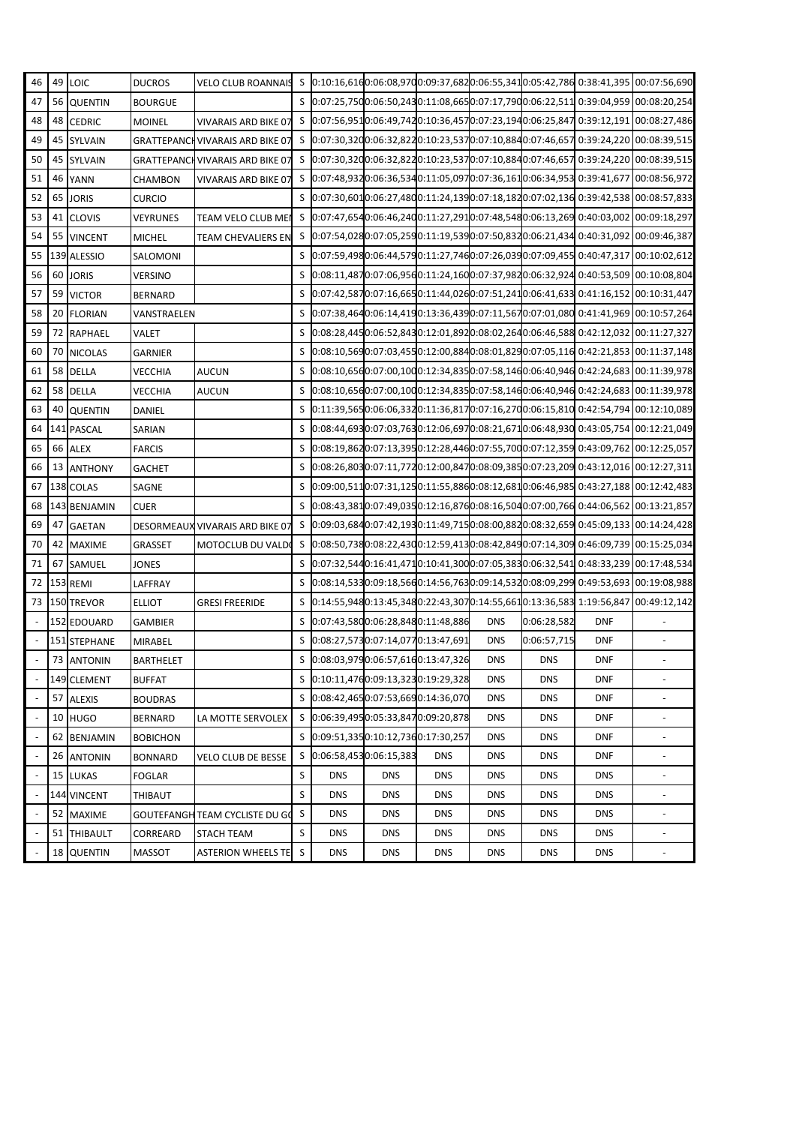| 46                       |                 | 49 LOIC         | <b>DUCROS</b>    | VELO CLUB ROANNAIS S 0:10:16,6160:06:08,9700:09:37,6820:06:55,3410:05:42,786 0:38:41,395 00:07:56,690 |   |                                     |            |            |            |             |            |                                                                                         |
|--------------------------|-----------------|-----------------|------------------|-------------------------------------------------------------------------------------------------------|---|-------------------------------------|------------|------------|------------|-------------|------------|-----------------------------------------------------------------------------------------|
| 47                       |                 | 56 QUENTIN      | <b>BOURGUE</b>   |                                                                                                       |   |                                     |            |            |            |             |            | S 0:07:25,7500:06:50,2430:11:08,6650:07:17,7900:06:22,511 0:39:04,959 00:08:20,254      |
| 48                       |                 | 48 CEDRIC       | <b>MOINEL</b>    | VIVARAIS ARD BIKE 07                                                                                  |   |                                     |            |            |            |             |            | S 0:07:56,9510:06:49,7420:10:36,4570:07:23,1940:06:25,847 0:39:12,191 00:08:27,486      |
| 49                       |                 | 45 SYLVAIN      |                  | <b>GRATTEPANCH VIVARAIS ARD BIKE 07</b>                                                               |   |                                     |            |            |            |             |            | \$ 0:07:30,3200:06:32,8220:10:23,5370:07:10,8840:07:46,657 0:39:24,220 00:08:39,515     |
| 50                       |                 | 45 SYLVAIN      |                  | GRATTEPANCH VIVARAIS ARD BIKE 07                                                                      |   |                                     |            |            |            |             |            | \$ 0:07:30,3200:06:32,8220:10:23,5370:07:10,8840:07:46,657 0:39:24,220 00:08:39,515     |
| 51                       |                 | 46 YANN         | CHAMBON          | <b>VIVARAIS ARD BIKE 07</b>                                                                           | S |                                     |            |            |            |             |            | $[0.07:48,932]0:06:36,534]0:11:05,097]0:07:36,161]0:06:34,953]0:39:41,677]00:08:56,972$ |
| 52                       |                 | 65 JORIS        | <b>CURCIO</b>    |                                                                                                       |   |                                     |            |            |            |             |            | \$ 0:07:30,6010:06:27,4800:11:24,1390:07:18,1820:07:02,136 0:39:42,538 00:08:57,833     |
| 53                       | 41              | <b>CLOVIS</b>   | <b>VEYRUNES</b>  | TEAM VELO CLUB MEI                                                                                    |   |                                     |            |            |            |             |            | \$ 0:07:47,6540:06:46,2400:11:27,2910:07:48,5480:06:13,269 0:40:03,002 00:09:18,297     |
| 54                       |                 | 55 VINCENT      | <b>MICHEL</b>    | TEAM CHEVALIERS EN                                                                                    |   |                                     |            |            |            |             |            | \$ 0:07:54,0280:07:05,2590:11:19,5390:07:50,8320:06:21,434 0:40:31,092 00:09:46,387     |
| 55                       |                 | 139 ALESSIO     | SALOMONI         |                                                                                                       |   |                                     |            |            |            |             |            | \$ 0:07:59,4980:06:44,5790:11:27,7460:07:26,0390:07:09,455 0:40:47,317 00:10:02,612     |
| 56                       |                 | 60 JORIS        | <b>VERSINO</b>   |                                                                                                       | S |                                     |            |            |            |             |            | 0:08:11,4870:07:06,9560:11:24,1600:07:37,9820:06:32,924 0:40:53,509 00:10:08,804        |
| 57                       |                 | 59 VICTOR       | <b>BERNARD</b>   |                                                                                                       |   |                                     |            |            |            |             |            | S 0:07:42,5870:07:16,6650:11:44,0260:07:51,2410:06:41,633 0:41:16,152 00:10:31,447      |
| 58                       |                 | 20 FLORIAN      | VANSTRAELEN      |                                                                                                       | S |                                     |            |            |            |             |            | 0:07:38,4640:06:14,4190:13:36,4390:07:11,5670:07:01,080 0:41:41,969 00:10:57,264        |
| 59                       |                 | 72 RAPHAEL      | VALET            |                                                                                                       | S |                                     |            |            |            |             |            | 0:08:28,4450:06:52,8430:12:01,8920:08:02,2640:06:46,588 0:42:12,032 00:11:27,327        |
| 60                       |                 | 70 NICOLAS      | <b>GARNIER</b>   |                                                                                                       |   |                                     |            |            |            |             |            | S 0:08:10,5690:07:03,4550:12:00,8840:08:01,8290:07:05,116 0:42:21,853 00:11:37,148      |
| 61                       |                 | 58 DELLA        | <b>VECCHIA</b>   | <b>AUCUN</b>                                                                                          | S |                                     |            |            |            |             |            | 0:08:10,6560:07:00,1000:12:34,8350:07:58,1460:06:40,946 0:42:24,683 00:11:39,978        |
| 62                       |                 | 58 DELLA        | <b>VECCHIA</b>   | <b>AUCUN</b>                                                                                          | S |                                     |            |            |            |             |            | 0:08:10,6560:07:00,1000:12:34,8350:07:58,1460:06:40,946 0:42:24,683 00:11:39,978        |
| 63                       | 40              | <b>QUENTIN</b>  | DANIEL           |                                                                                                       | S |                                     |            |            |            |             |            | 0:11:39,5650:06:06,3320:11:36,8170:07:16,2700:06:15,810 0:42:54,794 00:12:10,089        |
| 64                       |                 | 141 PASCAL      | SARIAN           |                                                                                                       | S |                                     |            |            |            |             |            | 0:08:44,6930:07:03,7630:12:06,6970:08:21,6710:06:48,930 0:43:05,754 00:12:21,049        |
| 65                       |                 | 66 ALEX         | <b>FARCIS</b>    |                                                                                                       |   |                                     |            |            |            |             |            | S 0:08:19,8620:07:13,3950:12:28,4460:07:55,7000:07:12,359 0:43:09,762 00:12:25,057      |
| 66                       |                 | 13 ANTHONY      | <b>GACHET</b>    |                                                                                                       | S |                                     |            |            |            |             |            | 0:08:26,8030:07:11,7720:12:00,8470:08:09,3850:07:23,209 0:43:12,016 00:12:27,311        |
| 67                       |                 | 138 COLAS       | SAGNE            |                                                                                                       | S |                                     |            |            |            |             |            | $[0.09:00,511]0:07:31,125]0:11:55,8860:08:12,681]0:06:46,985]0:43:27,188[00:12:42,483]$ |
| 68                       |                 | 143 BENJAMIN    | <b>CUER</b>      |                                                                                                       |   |                                     |            |            |            |             |            | S 0:08:43,3810:07:49,0350:12:16,8760:08:16,5040:07:00,766 0:44:06,562 00:13:21,857      |
| 69                       | 47              | <b>GAETAN</b>   |                  | DESORMEAUX VIVARAIS ARD BIKE 07                                                                       |   |                                     |            |            |            |             |            | S 0:09:03,6840:07:42,1930:11:49,7150:08:00,8820:08:32,659 0:45:09,133 00:14:24,428      |
| 70                       |                 | 42 MAXIME       | GRASSET          | MOTOCLUB DU VALDO                                                                                     |   |                                     |            |            |            |             |            | \$ 0:08:50,7380:08:22,4300:12:59,4130:08:42,8490:07:14,309 0:46:09,739 00:15:25,034     |
| 71                       |                 | 67 SAMUEL       | JONES            |                                                                                                       | S |                                     |            |            |            |             |            | 0:07:32,5440:16:41,4710:10:41,3000:07:05,3830:06:32,541 0:48:33,239 00:17:48,534        |
| 72                       |                 | 153 REMI        | LAFFRAY          |                                                                                                       | S |                                     |            |            |            |             |            | 0:08:14,5330:09:18,5660:14:56,7630:09:14,5320:08:09,299 0:49:53,693 00:19:08,988        |
| 73                       |                 | 150 TREVOR      | <b>ELLIOT</b>    | <b>GRESI FREERIDE</b>                                                                                 |   |                                     |            |            |            |             |            | \$ 0:14:55,9480:13:45,3480:22:43,3070:14:55,6610:13:36,583 1:19:56,847 00:49:12,142     |
|                          |                 | 152 EDOUARD     | <b>GAMBIER</b>   |                                                                                                       |   | S 0:07:43,5800:06:28,8480:11:48,886 |            |            | <b>DNS</b> | 0:06:28,582 | <b>DNF</b> |                                                                                         |
|                          |                 | 151 STEPHANE    | <b>MIRABEL</b>   |                                                                                                       |   | S 0:08:27,5730:07:14,0770:13:47,691 |            |            | <b>DNS</b> | 0:06:57,715 | <b>DNF</b> |                                                                                         |
|                          |                 | 73 ANTONIN      | <b>BARTHELET</b> |                                                                                                       |   | 0:08:03,9790:06:57,6160:13:47,326   |            |            | <b>DNS</b> | <b>DNS</b>  | <b>DNF</b> |                                                                                         |
|                          |                 | 149 CLEMENT     | <b>BUFFAT</b>    |                                                                                                       |   | S 0:10:11,4760:09:13,3230:19:29,328 |            |            | <b>DNS</b> | <b>DNS</b>  | <b>DNF</b> |                                                                                         |
|                          | 57              | <b>ALEXIS</b>   | <b>BOUDRAS</b>   |                                                                                                       |   | S 0:08:42,4650:07:53,6690:14:36,070 |            |            | <b>DNS</b> | <b>DNS</b>  | <b>DNF</b> |                                                                                         |
|                          |                 | 10 HUGO         | <b>BERNARD</b>   | LA MOTTE SERVOLEX                                                                                     |   | S 0:06:39,4950:05:33,8470:09:20,878 |            |            | <b>DNS</b> | <b>DNS</b>  | <b>DNF</b> |                                                                                         |
|                          |                 | 62 BENJAMIN     | <b>BOBICHON</b>  |                                                                                                       |   | S 0:09:51,3350:10:12,7360:17:30,257 |            |            | <b>DNS</b> | <b>DNS</b>  | <b>DNF</b> |                                                                                         |
| $\overline{\phantom{a}}$ | 26 <sup>1</sup> | <b>ANTONIN</b>  | <b>BONNARD</b>   | <b>VELO CLUB DE BESSE</b>                                                                             | S | 0:06:58,4530:06:15,383              |            | <b>DNS</b> | <b>DNS</b> | <b>DNS</b>  | <b>DNF</b> | $\overline{\phantom{m}}$                                                                |
|                          |                 | 15 LUKAS        | <b>FOGLAR</b>    |                                                                                                       | S | <b>DNS</b>                          | <b>DNS</b> | <b>DNS</b> | <b>DNS</b> | <b>DNS</b>  | <b>DNS</b> |                                                                                         |
|                          |                 | 144 VINCENT     | THIBAUT          |                                                                                                       | S | <b>DNS</b>                          | <b>DNS</b> | <b>DNS</b> | <b>DNS</b> | <b>DNS</b>  | <b>DNS</b> |                                                                                         |
|                          |                 | 52 MAXIME       |                  | <b>GOUTEFANGH TEAM CYCLISTE DU GO</b>                                                                 | S | <b>DNS</b>                          | <b>DNS</b> | <b>DNS</b> | <b>DNS</b> | <b>DNS</b>  | <b>DNS</b> | L,                                                                                      |
|                          | 51              | <b>THIBAULT</b> | CORREARD         | STACH TEAM                                                                                            | S | <b>DNS</b>                          | <b>DNS</b> | <b>DNS</b> | <b>DNS</b> | <b>DNS</b>  | <b>DNS</b> |                                                                                         |
|                          |                 | 18 QUENTIN      | <b>MASSOT</b>    | ASTERION WHEELS TE S                                                                                  |   | <b>DNS</b>                          | <b>DNS</b> | <b>DNS</b> | <b>DNS</b> | <b>DNS</b>  | <b>DNS</b> | $\frac{1}{2}$                                                                           |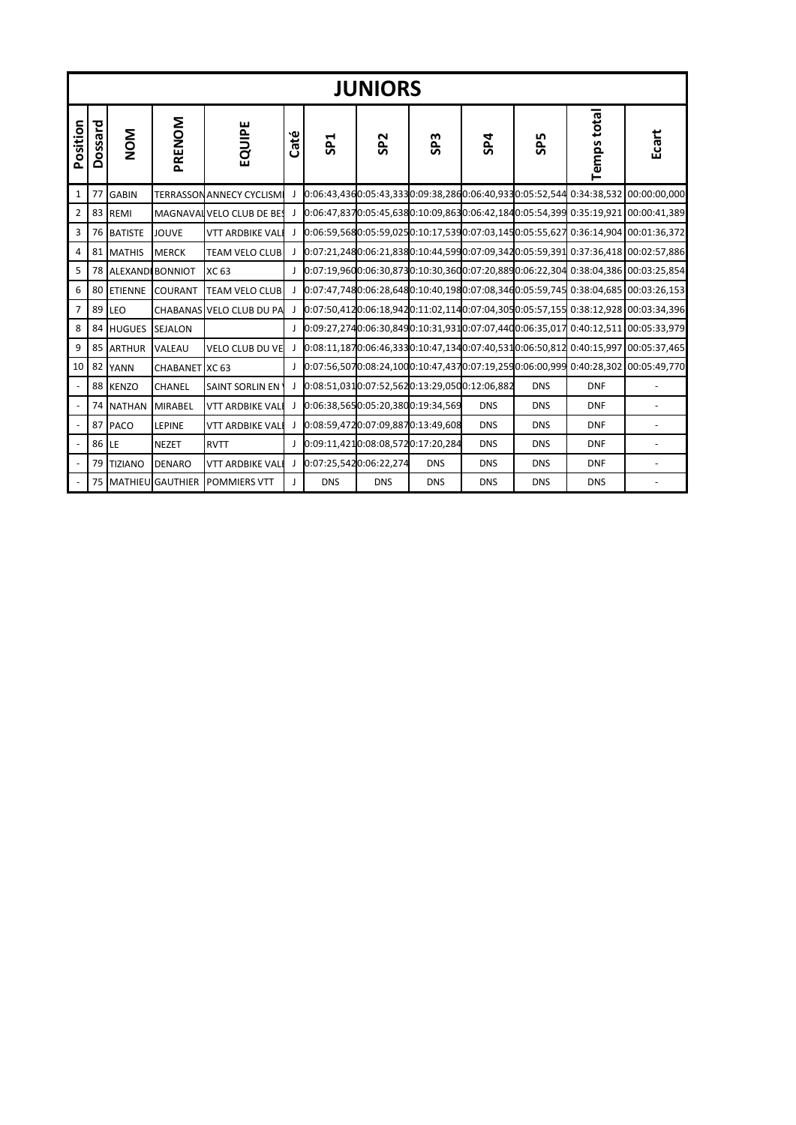|                | <b>JUNIORS</b> |            |                     |                           |              |                                              |                 |                 |            |                 |                    |                                                                                         |  |  |  |
|----------------|----------------|------------|---------------------|---------------------------|--------------|----------------------------------------------|-----------------|-----------------|------------|-----------------|--------------------|-----------------------------------------------------------------------------------------|--|--|--|
| Position       | Dossard        | <b>NOM</b> | PRENOM              | EQUIPE                    | Caté         | SP <sub>1</sub>                              | SP <sub>2</sub> | SP <sub>3</sub> | SP4        | SP <sub>5</sub> | <b>Temps total</b> | Ecart                                                                                   |  |  |  |
| $\mathbf{1}$   |                | 77 GABIN   |                     | TERRASSON ANNECY CYCLISM  | J.           |                                              |                 |                 |            |                 |                    | 0:06:43,4360:05:43,3330:09:38,2860:06:40,9330:05:52,544 0:34:38,532 00:00:00,000        |  |  |  |
| $\overline{2}$ |                | 83 REMI    |                     | MAGNAVAL VELO CLUB DE BE! | J.           |                                              |                 |                 |            |                 |                    | 0:06:47,8370:05:45,6380:10:09,8630:06:42,1840:05:54,399 0:35:19,921 00:00:41,389        |  |  |  |
| 3              |                | 76 BATISTE | <b>JOUVE</b>        | <b>VTT ARDBIKE VAL</b>    | J.           |                                              |                 |                 |            |                 |                    | 0:06:59,5680:05:59,0250:10:17,5390:07:03,1450:05:55,627 0:36:14,904 00:01:36,372        |  |  |  |
| $\overline{4}$ |                | 81 MATHIS  | <b>MERCK</b>        | <b>TEAM VELO CLUB</b>     |              |                                              |                 |                 |            |                 |                    | 0:07:21,2480:06:21,8380:10:44,5990:07:09,3420:05:59,391 0:37:36,418 00:02:57,886        |  |  |  |
| 5              |                |            | 78 ALEXANDI BONNIOT | XC 63                     | J.           |                                              |                 |                 |            |                 |                    | 0:07:19,9600:06:30,8730:10:30,3600:07:20,8890:06:22,304 0:38:04,386 00:03:25,854        |  |  |  |
| 6              |                | 80 ETIENNE | <b>COURANT</b>      | <b>TEAM VELO CLUB</b>     | J.           |                                              |                 |                 |            |                 |                    | 0:07:47,7480:06:28,6480:10:40,1980:07:08,3460:05:59,745 0:38:04,685 00:03:26,153        |  |  |  |
| $\overline{7}$ |                | 89 LEO     |                     | CHABANAS VELO CLUB DU PA  |              |                                              |                 |                 |            |                 |                    | $[0.07:50,4120:06:18,942]0:11:02,114]0:07:04,305]0:05:57,155]0:38:12,928[00:03:34,396]$ |  |  |  |
| 8              |                | 84 HUGUES  | <b>SEJALON</b>      |                           | $\mathbf{I}$ |                                              |                 |                 |            |                 |                    | 0:09:27,2740:06:30,8490:10:31,9310:07:07,4400:06:35,017 0:40:12,511 00:05:33,979        |  |  |  |
| 9              |                | 85 ARTHUR  | VALEAU              | <b>VELO CLUB DU VE</b>    |              |                                              |                 |                 |            |                 |                    | 0:08:11,1870:06:46,3330:10:47,1340:07:40,5310:06:50,812 0:40:15,997 00:05:37,465        |  |  |  |
| 10             |                | 82 YANN    | CHABANET XC 63      |                           |              |                                              |                 |                 |            |                 |                    | 0:07:56,5070:08:24,1000:10:47,4370:07:19,2590:06:00,999 0:40:28,302 00:05:49,770        |  |  |  |
|                |                | 88 KENZO   | CHANEL              | SAINT SORLIN EN           |              | 0:08:51,0310:07:52,5620:13:29,0500:12:06,882 |                 |                 |            | <b>DNS</b>      | <b>DNF</b>         |                                                                                         |  |  |  |
|                |                | 74 NATHAN  | <b>MIRABEL</b>      | <b>VTT ARDBIKE VAL</b>    | $\mathbf{I}$ | 0:06:38,5650:05:20,3800:19:34,569            |                 |                 | <b>DNS</b> | <b>DNS</b>      | <b>DNF</b>         |                                                                                         |  |  |  |
| $\sim$         |                | 87 PACO    | <b>LEPINE</b>       | <b>VTT ARDBIKE VAL</b>    | J.           | 0:08:59,4720:07:09,8870:13:49,608            |                 |                 | <b>DNS</b> | <b>DNS</b>      | <b>DNF</b>         |                                                                                         |  |  |  |
|                | 86 LE          |            | <b>NEZET</b>        | <b>RVTT</b>               |              | 0:09:11,4210:08:08,5720:17:20,284            |                 |                 | <b>DNS</b> | <b>DNS</b>      | <b>DNF</b>         |                                                                                         |  |  |  |
|                |                | 79 TIZIANO | <b>DENARO</b>       | <b>VTT ARDBIKE VAL</b>    | J.           | 0:07:25,5420:06:22,274                       |                 | <b>DNS</b>      | <b>DNS</b> | <b>DNS</b>      | <b>DNF</b>         |                                                                                         |  |  |  |
|                |                |            | 75 MATHIEU GAUTHIER | <b>POMMIERS VTT</b>       | T            | <b>DNS</b>                                   | <b>DNS</b>      | <b>DNS</b>      | <b>DNS</b> | <b>DNS</b>      | <b>DNS</b>         |                                                                                         |  |  |  |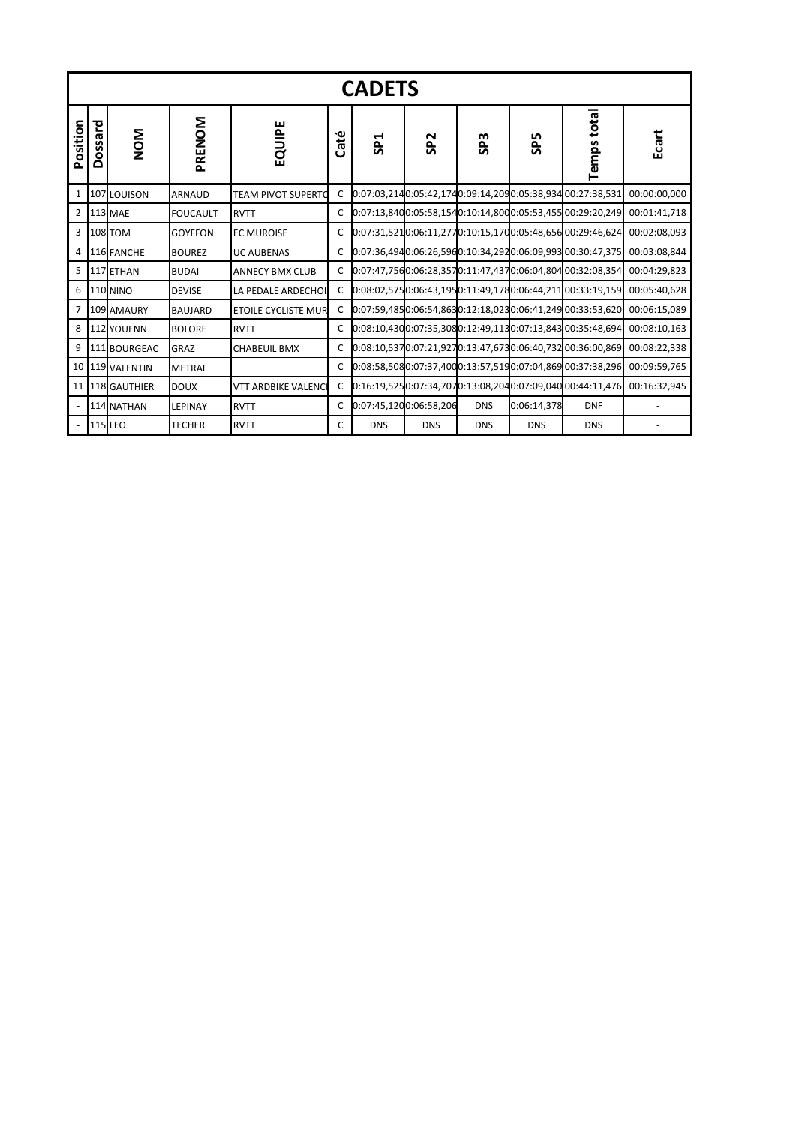|                | <b>CADETS</b> |                     |                 |                            |              |                 |                        |                 |                 |                                                            |                                                                          |  |  |  |  |
|----------------|---------------|---------------------|-----------------|----------------------------|--------------|-----------------|------------------------|-----------------|-----------------|------------------------------------------------------------|--------------------------------------------------------------------------|--|--|--|--|
| Position       | Dossard       | <b>NOM</b>          | PRENOM          | EQUIPE                     | Caté         | SP <sub>1</sub> | SP <sub>2</sub>        | SP <sub>3</sub> | SP <sub>5</sub> | Temps total                                                | Ecart                                                                    |  |  |  |  |
| 1              |               | 107 LOUISON         | <b>ARNAUD</b>   | <b>TEAM PIVOT SUPERTC</b>  | C            |                 |                        |                 |                 | 0:07:03,2140:05:42,1740:09:14,2090:05:38,934 00:27:38,531  | 00:00:00,000                                                             |  |  |  |  |
| $\overline{2}$ |               | <b>113 MAE</b>      | <b>FOUCAULT</b> | <b>RVTT</b>                | C            |                 |                        |                 |                 | 0:07:13,8400:05:58,1540:10:14,8000:05:53,455 00:29:20,249  | 00:01:41,718                                                             |  |  |  |  |
| 3              |               | <b>108 TOM</b>      | <b>GOYFFON</b>  | <b>EC MUROISE</b>          | C            |                 |                        |                 |                 | 0:07:31,5210:06:11,2770:10:15,1700:05:48,656 00:29:46,624  | 00:02:08.093                                                             |  |  |  |  |
| 4              |               | 116 FANCHE          | <b>BOUREZ</b>   | <b>UC AUBENAS</b>          | C            |                 |                        |                 |                 | 0:07:36,4940:06:26,5960:10:34,2920:06:09,993 00:30:47,375  | 00:03:08.844                                                             |  |  |  |  |
| 5              |               | 117 ETHAN           | <b>BUDAI</b>    | <b>ANNECY BMX CLUB</b>     | C            |                 |                        |                 |                 | 0:07:47,7560:06:28,3570:11:47,4370:06:04,804 00:32:08,354  | 00:04:29.823                                                             |  |  |  |  |
| 6              |               | <b>110 NINO</b>     | <b>DEVISE</b>   | LA PEDALE ARDECHOI         | $\mathsf{C}$ |                 |                        |                 |                 |                                                            | 0:08:02,5750:06:43,1950:11:49,1780:06:44,211 00:33:19,159 00:05:40,628   |  |  |  |  |
| $\overline{7}$ |               | 109 AMAURY          | <b>BAUJARD</b>  | <b>ETOILE CYCLISTE MUR</b> | C            |                 |                        |                 |                 |                                                            | $0.07:59,4850:06:54,8630:12:18,0230:06:41,24900:33:53,620$ 00:06:15,089  |  |  |  |  |
| 8              |               | <b>112 YOUENN</b>   | <b>BOLORE</b>   | <b>RVTT</b>                | C            |                 |                        |                 |                 | $0.08:10,4300:07:35,3080:12:49,1130:07:13,84300:35:48,694$ | 00:08:10.163                                                             |  |  |  |  |
| 9              |               | 111 BOURGEAC        | GRAZ            | <b>CHABEUIL BMX</b>        | C            |                 |                        |                 |                 |                                                            | $0.08:10,5370:07:21,9270:13:47,6730:06:40,732100:36:00,869$ 00:08:22,338 |  |  |  |  |
| 10             |               | 119 VALENTIN        | <b>METRAL</b>   |                            | C            |                 |                        |                 |                 |                                                            | 0:08:58,5080:07:37,4000:13:57,5190:07:04,869 00:37:38,296 00:09:59,765   |  |  |  |  |
| 11             |               | <b>118 GAUTHIER</b> | <b>DOUX</b>     | <b>VTT ARDBIKE VALENC</b>  | C            |                 |                        |                 |                 |                                                            | $0:16:19,5250:07:34,7070:13:08,2040:07:09,04000:44:11,476$ 00:16:32,945  |  |  |  |  |
|                |               | 114 NATHAN          | <b>LEPINAY</b>  | <b>RVTT</b>                | C            |                 | 0:07:45,1200:06:58,206 | <b>DNS</b>      | 0:06:14,378     | <b>DNF</b>                                                 |                                                                          |  |  |  |  |
|                |               | 115 LEO             | <b>TECHER</b>   | <b>RVTT</b>                | C            | <b>DNS</b>      | <b>DNS</b>             | <b>DNS</b>      | <b>DNS</b>      | <b>DNS</b>                                                 |                                                                          |  |  |  |  |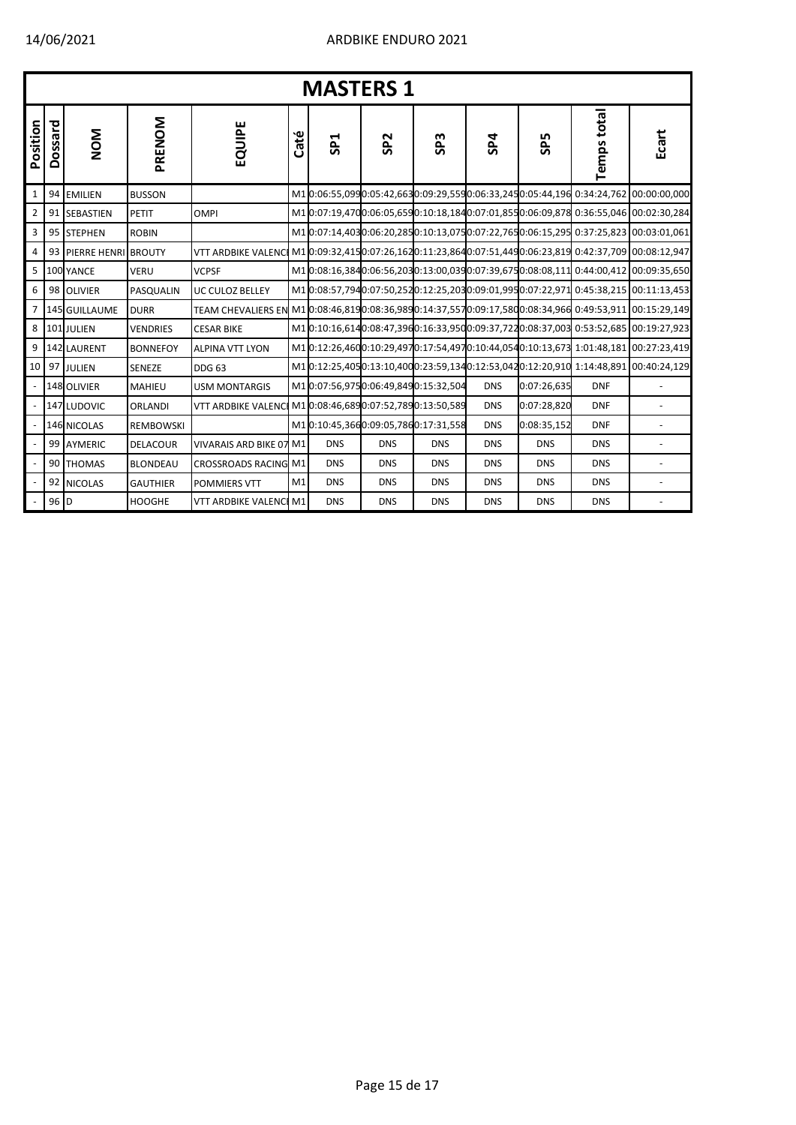|                | <b>MASTERS 1</b> |                     |                  |                             |      |                                      |                 |                 |            |             |             |                                                                                    |  |  |
|----------------|------------------|---------------------|------------------|-----------------------------|------|--------------------------------------|-----------------|-----------------|------------|-------------|-------------|------------------------------------------------------------------------------------|--|--|
| Position       | Dossard          | <b>NON</b>          | PRENOM           | EQUIPE                      | Caté | SP <sub>1</sub>                      | SP <sub>2</sub> | SP <sub>3</sub> | SP4        | <b>SP5</b>  | Temps total | Ecart                                                                              |  |  |
| 1              | 94               | <b>EMILIEN</b>      | <b>BUSSON</b>    |                             |      |                                      |                 |                 |            |             |             | M10:06:55,0990:05:42,6630:09:29,5590:06:33,2450:05:44,196 0:34:24,762 00:00:00,000 |  |  |
| $\overline{2}$ | 91               | <b>SEBASTIEN</b>    | <b>PETIT</b>     | <b>OMPI</b>                 |      |                                      |                 |                 |            |             |             | M10:07:19,4700:06:05,6590:10:18,1840:07:01,8550:06:09,878 0:36:55,046 00:02:30,284 |  |  |
| 3              |                  | 95 STEPHEN          | <b>ROBIN</b>     |                             |      |                                      |                 |                 |            |             |             | M10:07:14,4030:06:20,2850:10:13,0750:07:22,7650:06:15,295 0:37:25,823 00:03:01,061 |  |  |
| $\overline{4}$ | 93               | PIERRE HENRI BROUTY |                  | <b>VTT ARDBIKE VALENC</b>   |      |                                      |                 |                 |            |             |             | M10:09:32,4150:07:26,1620:11:23,8640:07:51,4490:06:23,819 0:42:37,709 00:08:12,947 |  |  |
| 5              |                  | 100 YANCE           | <b>VERU</b>      | <b>VCPSF</b>                |      |                                      |                 |                 |            |             |             | M10:08:16,3840:06:56,2030:13:00,0390:07:39,6750:08:08,111 0:44:00,412 00:09:35,650 |  |  |
| 6              |                  | 98 OLIVIER          | PASQUALIN        | <b>UC CULOZ BELLEY</b>      |      |                                      |                 |                 |            |             |             | M10:08:57,7940:07:50,2520:12:25,2030:09:01,9950:07:22,971 0:45:38,215 00:11:13,453 |  |  |
| $\overline{7}$ |                  | 145 GUILLAUME       | <b>DURR</b>      | <b>TEAM CHEVALIERS EN</b>   |      |                                      |                 |                 |            |             |             | M10:08:46,8190:08:36,9890:14:37,5570:09:17,5800:08:34,966 0:49:53,911 00:15:29,149 |  |  |
| 8              |                  | 101 JULIEN          | <b>VENDRIES</b>  | <b>CESAR BIKE</b>           |      |                                      |                 |                 |            |             |             | M10:10:16,6140:08:47,3960:16:33,9500:09:37,7220:08:37,003 0:53:52,685 00:19:27,923 |  |  |
| 9              |                  | 142 LAURENT         | <b>BONNEFOY</b>  | <b>ALPINA VTT LYON</b>      |      |                                      |                 |                 |            |             |             | M10:12:26,4600:10:29,4970:17:54,4970:10:44,0540:10:13,673 1:01:48,181 00:27:23,419 |  |  |
| 10             |                  | 97 JULIEN           | SENEZE           | <b>DDG 63</b>               |      |                                      |                 |                 |            |             |             | M10:12:25,4050:13:10,4000:23:59,1340:12:53,0420:12:20,910 1:14:48,891 00:40:24,129 |  |  |
|                |                  | 148 OLIVIER         | <b>MAHIEU</b>    | <b>USM MONTARGIS</b>        |      | M10:07:56,9750:06:49,8490:15:32,504  |                 |                 | <b>DNS</b> | 0:07:26,635 | <b>DNF</b>  |                                                                                    |  |  |
|                |                  | 147 LUDOVIC         | <b>ORLANDI</b>   | <b>VTT ARDBIKE VALENC</b>   |      | M1 0:08:46,6890:07:52,7890:13:50,589 |                 |                 | <b>DNS</b> | 0:07:28,820 | <b>DNF</b>  | $\overline{\phantom{a}}$                                                           |  |  |
|                |                  | 146 NICOLAS         | <b>REMBOWSKI</b> |                             |      | M1 0:10:45,3660:09:05,7860:17:31,558 |                 |                 | <b>DNS</b> | 0:08:35,152 | <b>DNF</b>  |                                                                                    |  |  |
|                |                  | 99 AYMERIC          | <b>DELACOUR</b>  | VIVARAIS ARD BIKE 07 M1     |      | <b>DNS</b>                           | <b>DNS</b>      | <b>DNS</b>      | <b>DNS</b> | <b>DNS</b>  | <b>DNS</b>  |                                                                                    |  |  |
|                |                  | 90 THOMAS           | <b>BLONDEAU</b>  | <b>CROSSROADS RACING M1</b> |      | <b>DNS</b>                           | <b>DNS</b>      | <b>DNS</b>      | <b>DNS</b> | <b>DNS</b>  | <b>DNS</b>  |                                                                                    |  |  |
|                |                  | 92 NICOLAS          | <b>GAUTHIER</b>  | <b>POMMIERS VTT</b>         | M1   | <b>DNS</b>                           | <b>DNS</b>      | <b>DNS</b>      | <b>DNS</b> | <b>DNS</b>  | <b>DNS</b>  |                                                                                    |  |  |
|                | 96 D             |                     | <b>HOOGHE</b>    | VTT ARDBIKE VALENCI M1      |      | <b>DNS</b>                           | <b>DNS</b>      | <b>DNS</b>      | <b>DNS</b> | <b>DNS</b>  | <b>DNS</b>  |                                                                                    |  |  |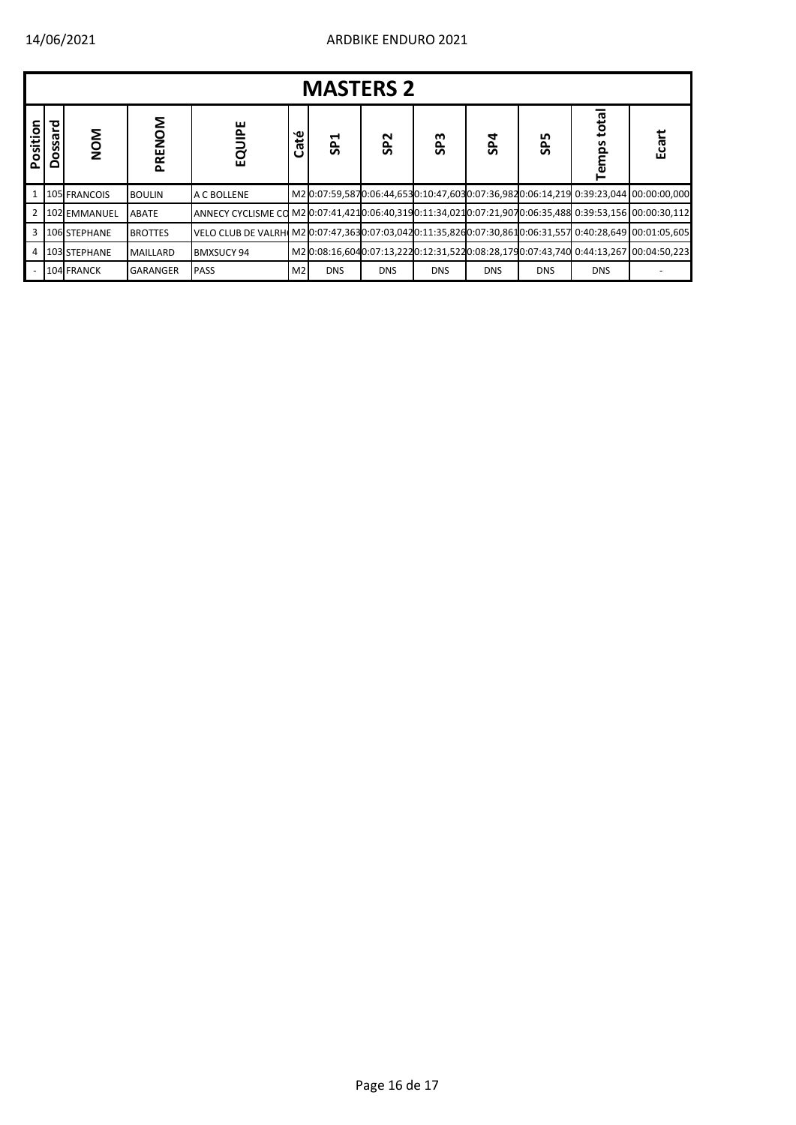|                | <b>MASTERS 2</b>             |              |                |                                                                                                        |                |                 |                 |                 |            |            |                   |                                                                                     |  |  |
|----------------|------------------------------|--------------|----------------|--------------------------------------------------------------------------------------------------------|----------------|-----------------|-----------------|-----------------|------------|------------|-------------------|-------------------------------------------------------------------------------------|--|--|
| Position       | 짇<br><b>GS</b><br><b>Dos</b> | NOM          | Σo<br>PREN     | 遣<br>ga                                                                                                | ۰ω<br>ී        | SP <sub>1</sub> | SP <sub>2</sub> | SP <sub>3</sub> | SP4        | <b>SP5</b> | total<br>mps<br>흔 | రై<br>ம்                                                                            |  |  |
|                |                              | 105 FRANCOIS | <b>BOULIN</b>  | A C BOLLENE                                                                                            |                |                 |                 |                 |            |            |                   | M2 0:07:59,5870:06:44,6530:10:47,6030:07:36,9820:06:14,219 0:39:23,044 00:00:00,000 |  |  |
| $\overline{2}$ |                              | 102 EMMANUEL | <b>ABATE</b>   | 112.00039:53,156 ANNECY CYCLISME CO M2 (0:07:41,4210:06:40,319 0:11:34,021 0:07:21,907 0:06:35,488     |                |                 |                 |                 |            |            |                   |                                                                                     |  |  |
| 3              |                              | 106 STEPHANE | <b>BROTTES</b> | VELO CLUB DE VALRH M2 0:07:47,3630:07:03,0420:11:35,8260:07:30,8610:06:31,557 0:40:28,649 00:01:05,605 |                |                 |                 |                 |            |            |                   |                                                                                     |  |  |
| 4              |                              | 103 STEPHANE | MAILLARD       | <b>BMXSUCY 94</b>                                                                                      |                |                 |                 |                 |            |            |                   | M2 0:08:16,6040:07:13,2220:12:31,5220:08:28,1790:07:43,740 0:44:13,267 00:04:50,223 |  |  |
|                |                              | 104 FRANCK   | GARANGER       | <b>PASS</b>                                                                                            | M <sub>2</sub> | <b>DNS</b>      | <b>DNS</b>      | <b>DNS</b>      | <b>DNS</b> | <b>DNS</b> | <b>DNS</b>        |                                                                                     |  |  |